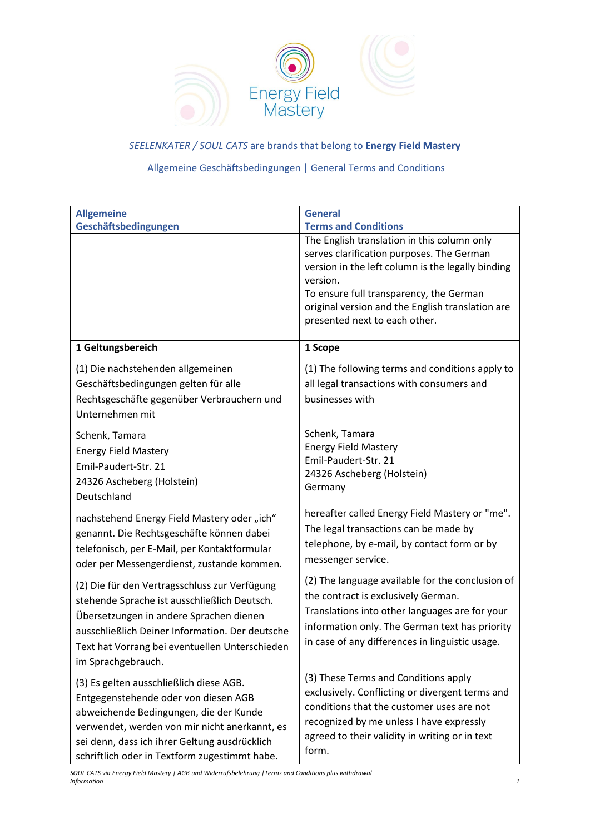

*SEELENKATER / SOUL CATS* are brands that belong to **Energy Field Mastery**

# Allgemeine Geschäftsbedingungen | General Terms and Conditions

| <b>Allgemeine</b>                                                                                                                                                                                                                                                            | <b>General</b>                                                                                                                                                                                                                                                                                                           |
|------------------------------------------------------------------------------------------------------------------------------------------------------------------------------------------------------------------------------------------------------------------------------|--------------------------------------------------------------------------------------------------------------------------------------------------------------------------------------------------------------------------------------------------------------------------------------------------------------------------|
| Geschäftsbedingungen                                                                                                                                                                                                                                                         | <b>Terms and Conditions</b><br>The English translation in this column only<br>serves clarification purposes. The German<br>version in the left column is the legally binding<br>version.<br>To ensure full transparency, the German<br>original version and the English translation are<br>presented next to each other. |
| 1 Geltungsbereich                                                                                                                                                                                                                                                            | 1 Scope                                                                                                                                                                                                                                                                                                                  |
| (1) Die nachstehenden allgemeinen<br>Geschäftsbedingungen gelten für alle<br>Rechtsgeschäfte gegenüber Verbrauchern und<br>Unternehmen mit                                                                                                                                   | (1) The following terms and conditions apply to<br>all legal transactions with consumers and<br>businesses with                                                                                                                                                                                                          |
| Schenk, Tamara<br><b>Energy Field Mastery</b><br>Emil-Paudert-Str. 21<br>24326 Ascheberg (Holstein)<br>Deutschland                                                                                                                                                           | Schenk, Tamara<br><b>Energy Field Mastery</b><br>Emil-Paudert-Str. 21<br>24326 Ascheberg (Holstein)<br>Germany                                                                                                                                                                                                           |
| nachstehend Energy Field Mastery oder "ich"<br>genannt. Die Rechtsgeschäfte können dabei<br>telefonisch, per E-Mail, per Kontaktformular<br>oder per Messengerdienst, zustande kommen.                                                                                       | hereafter called Energy Field Mastery or "me".<br>The legal transactions can be made by<br>telephone, by e-mail, by contact form or by<br>messenger service.                                                                                                                                                             |
| (2) Die für den Vertragsschluss zur Verfügung<br>stehende Sprache ist ausschließlich Deutsch.<br>Übersetzungen in andere Sprachen dienen<br>ausschließlich Deiner Information. Der deutsche<br>Text hat Vorrang bei eventuellen Unterschieden<br>im Sprachgebrauch.          | (2) The language available for the conclusion of<br>the contract is exclusively German.<br>Translations into other languages are for your<br>information only. The German text has priority<br>in case of any differences in linguistic usage.                                                                           |
| (3) Es gelten ausschließlich diese AGB.<br>Entgegenstehende oder von diesen AGB<br>abweichende Bedingungen, die der Kunde<br>verwendet, werden von mir nicht anerkannt, es<br>sei denn, dass ich ihrer Geltung ausdrücklich<br>schriftlich oder in Textform zugestimmt habe. | (3) These Terms and Conditions apply<br>exclusively. Conflicting or divergent terms and<br>conditions that the customer uses are not<br>recognized by me unless I have expressly<br>agreed to their validity in writing or in text<br>form.                                                                              |

*SOUL CATS via Energy Field Mastery | AGB und Widerrufsbelehrung |Terms and Conditions plus withdrawal information 1*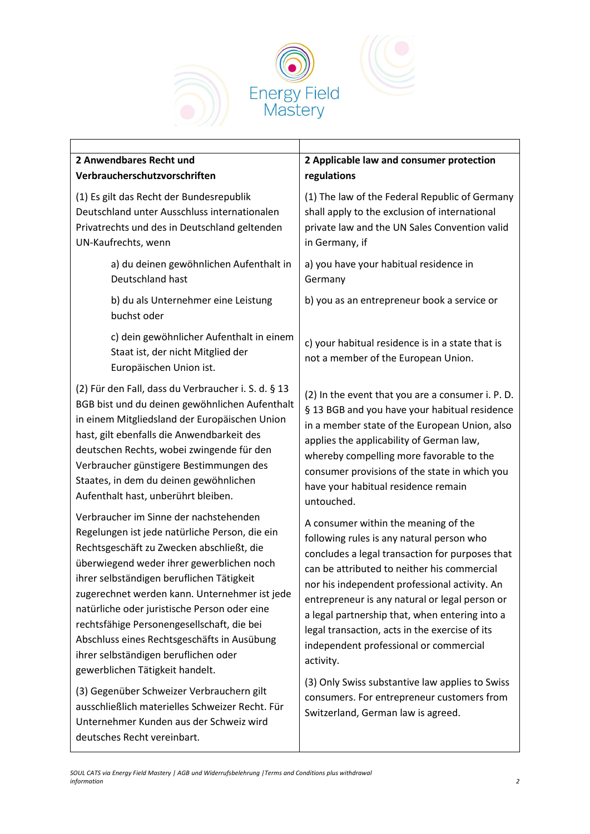



## **2 Anwendbares Recht und Verbraucherschutzvorschriften**

(1) Es gilt das Recht der Bundesrepublik Deutschland unter Ausschluss internationalen Privatrechts und des in Deutschland geltenden UN-Kaufrechts, wenn

> a) du deinen gewöhnlichen Aufenthalt in Deutschland hast

b) du als Unternehmer eine Leistung buchst oder

c) dein gewöhnlicher Aufenthalt in einem Staat ist, der nicht Mitglied der Europäischen Union ist.

(2) Für den Fall, dass du Verbraucher i. S. d. § 13 BGB bist und du deinen gewöhnlichen Aufenthalt in einem Mitgliedsland der Europäischen Union hast, gilt ebenfalls die Anwendbarkeit des deutschen Rechts, wobei zwingende für den Verbraucher günstigere Bestimmungen des Staates, in dem du deinen gewöhnlichen Aufenthalt hast, unberührt bleiben.

Verbraucher im Sinne der nachstehenden Regelungen ist jede natürliche Person, die ein Rechtsgeschäft zu Zwecken abschließt, die überwiegend weder ihrer gewerblichen noch ihrer selbständigen beruflichen Tätigkeit zugerechnet werden kann. Unternehmer ist jede natürliche oder juristische Person oder eine rechtsfähige Personengesellschaft, die bei Abschluss eines Rechtsgeschäfts in Ausübung ihrer selbständigen beruflichen oder gewerblichen Tätigkeit handelt.

(3) Gegenüber Schweizer Verbrauchern gilt ausschließlich materielles Schweizer Recht. Für Unternehmer Kunden aus der Schweiz wird deutsches Recht vereinbart.

# **2 Applicable law and consumer protection regulations**

(1) The law of the Federal Republic of Germany shall apply to the exclusion of international private law and the UN Sales Convention valid in Germany, if

a) you have your habitual residence in Germany

b) you as an entrepreneur book a service or

c) your habitual residence is in a state that is not a member of the European Union.

(2) In the event that you are a consumer i. P. D. § 13 BGB and you have your habitual residence in a member state of the European Union, also applies the applicability of German law, whereby compelling more favorable to the consumer provisions of the state in which you have your habitual residence remain untouched.

A consumer within the meaning of the following rules is any natural person who concludes a legal transaction for purposes that can be attributed to neither his commercial nor his independent professional activity. An entrepreneur is any natural or legal person or a legal partnership that, when entering into a legal transaction, acts in the exercise of its independent professional or commercial activity.

(3) Only Swiss substantive law applies to Swiss consumers. For entrepreneur customers from Switzerland, German law is agreed.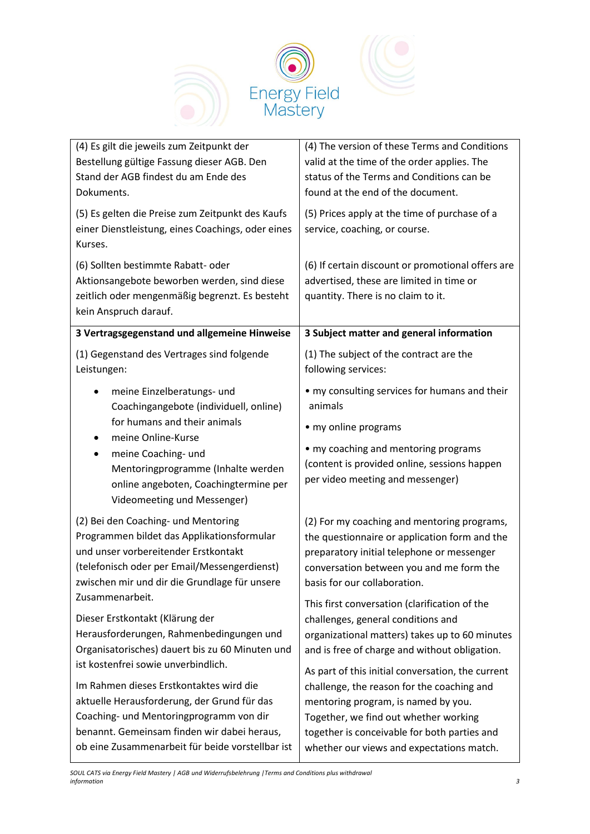

| (4) Es gilt die jeweils zum Zeitpunkt der<br>Bestellung gültige Fassung dieser AGB. Den<br>Stand der AGB findest du am Ende des<br>Dokuments.                                                                                                 | (4) The version of these Terms and Conditions<br>valid at the time of the order applies. The<br>status of the Terms and Conditions can be<br>found at the end of the document.                                                              |
|-----------------------------------------------------------------------------------------------------------------------------------------------------------------------------------------------------------------------------------------------|---------------------------------------------------------------------------------------------------------------------------------------------------------------------------------------------------------------------------------------------|
| (5) Es gelten die Preise zum Zeitpunkt des Kaufs<br>einer Dienstleistung, eines Coachings, oder eines<br>Kurses.                                                                                                                              | (5) Prices apply at the time of purchase of a<br>service, coaching, or course.                                                                                                                                                              |
| (6) Sollten bestimmte Rabatt- oder<br>Aktionsangebote beworben werden, sind diese<br>zeitlich oder mengenmäßig begrenzt. Es besteht<br>kein Anspruch darauf.                                                                                  | (6) If certain discount or promotional offers are<br>advertised, these are limited in time or<br>quantity. There is no claim to it.                                                                                                         |
| 3 Vertragsgegenstand und allgemeine Hinweise                                                                                                                                                                                                  | 3 Subject matter and general information                                                                                                                                                                                                    |
| (1) Gegenstand des Vertrages sind folgende<br>Leistungen:                                                                                                                                                                                     | (1) The subject of the contract are the<br>following services:                                                                                                                                                                              |
| meine Einzelberatungs- und<br>٠<br>Coachingangebote (individuell, online)<br>for humans and their animals                                                                                                                                     | • my consulting services for humans and their<br>animals<br>• my online programs                                                                                                                                                            |
| meine Online-Kurse<br>٠<br>meine Coaching- und<br>٠<br>Mentoringprogramme (Inhalte werden<br>online angeboten, Coachingtermine per<br>Videomeeting und Messenger)                                                                             | • my coaching and mentoring programs<br>(content is provided online, sessions happen<br>per video meeting and messenger)                                                                                                                    |
| (2) Bei den Coaching- und Mentoring<br>Programmen bildet das Applikationsformular<br>und unser vorbereitender Erstkontakt<br>(telefonisch oder per Email/Messengerdienst)<br>zwischen mir und dir die Grundlage für unsere<br>Zusammenarbeit. | (2) For my coaching and mentoring programs,<br>the questionnaire or application form and the<br>preparatory initial telephone or messenger<br>conversation between you and me form the<br>basis for our collaboration.                      |
| Dieser Erstkontakt (Klärung der<br>Herausforderungen, Rahmenbedingungen und<br>Organisatorisches) dauert bis zu 60 Minuten und<br>ist kostenfrei sowie unverbindlich.                                                                         | This first conversation (clarification of the<br>challenges, general conditions and<br>organizational matters) takes up to 60 minutes<br>and is free of charge and without obligation.<br>As part of this initial conversation, the current |
| Im Rahmen dieses Erstkontaktes wird die<br>aktuelle Herausforderung, der Grund für das<br>Coaching- und Mentoringprogramm von dir<br>benannt. Gemeinsam finden wir dabei heraus,<br>ob eine Zusammenarbeit für beide vorstellbar ist          | challenge, the reason for the coaching and<br>mentoring program, is named by you.<br>Together, we find out whether working<br>together is conceivable for both parties and<br>whether our views and expectations match.                     |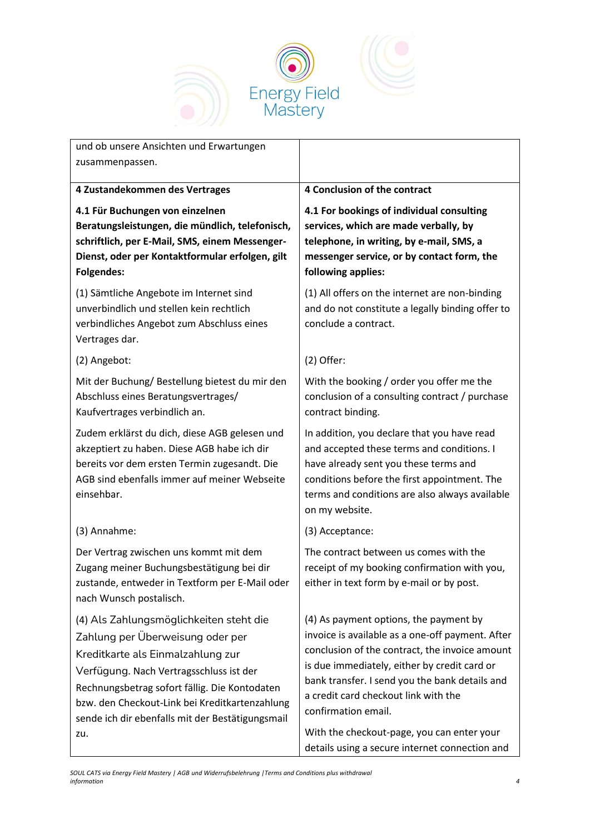

| und ob unsere Ansichten und Erwartungen                                                                                                                                                                                                                                                                                   |                                                                                                                                                                                                                                                                                                                                                                                                               |
|---------------------------------------------------------------------------------------------------------------------------------------------------------------------------------------------------------------------------------------------------------------------------------------------------------------------------|---------------------------------------------------------------------------------------------------------------------------------------------------------------------------------------------------------------------------------------------------------------------------------------------------------------------------------------------------------------------------------------------------------------|
| zusammenpassen.                                                                                                                                                                                                                                                                                                           |                                                                                                                                                                                                                                                                                                                                                                                                               |
| 4 Zustandekommen des Vertrages                                                                                                                                                                                                                                                                                            | 4 Conclusion of the contract                                                                                                                                                                                                                                                                                                                                                                                  |
| 4.1 Für Buchungen von einzelnen<br>Beratungsleistungen, die mündlich, telefonisch,<br>schriftlich, per E-Mail, SMS, einem Messenger-<br>Dienst, oder per Kontaktformular erfolgen, gilt<br><b>Folgendes:</b>                                                                                                              | 4.1 For bookings of individual consulting<br>services, which are made verbally, by<br>telephone, in writing, by e-mail, SMS, a<br>messenger service, or by contact form, the<br>following applies:                                                                                                                                                                                                            |
| (1) Sämtliche Angebote im Internet sind<br>unverbindlich und stellen kein rechtlich<br>verbindliches Angebot zum Abschluss eines<br>Vertrages dar.                                                                                                                                                                        | (1) All offers on the internet are non-binding<br>and do not constitute a legally binding offer to<br>conclude a contract.                                                                                                                                                                                                                                                                                    |
| (2) Angebot:                                                                                                                                                                                                                                                                                                              | $(2)$ Offer:                                                                                                                                                                                                                                                                                                                                                                                                  |
| Mit der Buchung/Bestellung bietest du mir den<br>Abschluss eines Beratungsvertrages/<br>Kaufvertrages verbindlich an.                                                                                                                                                                                                     | With the booking / order you offer me the<br>conclusion of a consulting contract / purchase<br>contract binding.                                                                                                                                                                                                                                                                                              |
| Zudem erklärst du dich, diese AGB gelesen und<br>akzeptiert zu haben. Diese AGB habe ich dir<br>bereits vor dem ersten Termin zugesandt. Die<br>AGB sind ebenfalls immer auf meiner Webseite<br>einsehbar.                                                                                                                | In addition, you declare that you have read<br>and accepted these terms and conditions. I<br>have already sent you these terms and<br>conditions before the first appointment. The<br>terms and conditions are also always available<br>on my website.                                                                                                                                                        |
| (3) Annahme:                                                                                                                                                                                                                                                                                                              | (3) Acceptance:                                                                                                                                                                                                                                                                                                                                                                                               |
| Der Vertrag zwischen uns kommt mit dem<br>Zugang meiner Buchungsbestätigung bei dir<br>zustande, entweder in Textform per E-Mail oder<br>nach Wunsch postalisch.                                                                                                                                                          | The contract between us comes with the<br>receipt of my booking confirmation with you,<br>either in text form by e-mail or by post.                                                                                                                                                                                                                                                                           |
| (4) Als Zahlungsmöglichkeiten steht die<br>Zahlung per Überweisung oder per<br>Kreditkarte als Einmalzahlung zur<br>Verfügung. Nach Vertragsschluss ist der<br>Rechnungsbetrag sofort fällig. Die Kontodaten<br>bzw. den Checkout-Link bei Kreditkartenzahlung<br>sende ich dir ebenfalls mit der Bestätigungsmail<br>zu. | (4) As payment options, the payment by<br>invoice is available as a one-off payment. After<br>conclusion of the contract, the invoice amount<br>is due immediately, either by credit card or<br>bank transfer. I send you the bank details and<br>a credit card checkout link with the<br>confirmation email.<br>With the checkout-page, you can enter your<br>details using a secure internet connection and |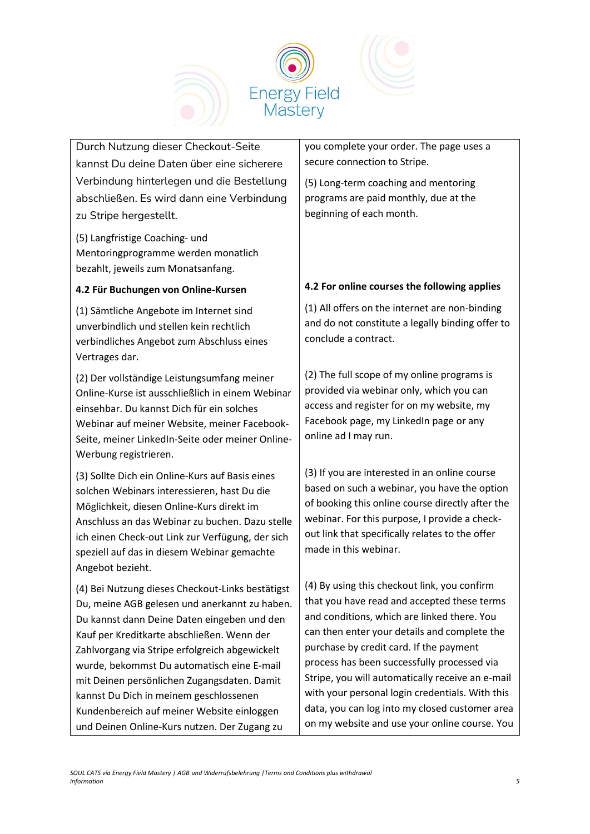

Durch Nutzung dieser Checkout-Seite kannst Du deine Daten über eine sicherere Verbindung hinterlegen und die Bestellung abschließen. Es wird dann eine Verbindung zu Stripe hergestellt.

(5) Langfristige Coaching- und Mentoringprogramme werden monatlich bezahlt, jeweils zum Monatsanfang.

### **4.2 Für Buchungen von Online-Kursen**

(1) Sämtliche Angebote im Internet sind unverbindlich und stellen kein rechtlich verbindliches Angebot zum Abschluss eines Vertrages dar.

(2) Der vollständige Leistungsumfang meiner Online-Kurse ist ausschließlich in einem Webinar einsehbar. Du kannst Dich für ein solches Webinar auf meiner Website, meiner Facebook-Seite, meiner LinkedIn-Seite oder meiner Online-Werbung registrieren.

(3) Sollte Dich ein Online-Kurs auf Basis eines solchen Webinars interessieren, hast Du die Möglichkeit, diesen Online-Kurs direkt im Anschluss an das Webinar zu buchen. Dazu stelle ich einen Check-out Link zur Verfügung, der sich speziell auf das in diesem Webinar gemachte Angebot bezieht.

(4) Bei Nutzung dieses Checkout-Links bestätigst Du, meine AGB gelesen und anerkannt zu haben. Du kannst dann Deine Daten eingeben und den Kauf per Kreditkarte abschließen. Wenn der Zahlvorgang via Stripe erfolgreich abgewickelt wurde, bekommst Du automatisch eine E-mail mit Deinen persönlichen Zugangsdaten. Damit kannst Du Dich in meinem geschlossenen Kundenbereich auf meiner Website einloggen und Deinen Online-Kurs nutzen. Der Zugang zu

you complete your order. The page uses a secure connection to Stripe.

(5) Long-term coaching and mentoring programs are paid monthly, due at the beginning of each month.

# **4.2 For online courses the following applies**

(1) All offers on the internet are non-binding and do not constitute a legally binding offer to conclude a contract.

(2) The full scope of my online programs is provided via webinar only, which you can access and register for on my website, my Facebook page, my LinkedIn page or any online ad I may run.

(3) If you are interested in an online course based on such a webinar, you have the option of booking this online course directly after the webinar. For this purpose, I provide a checkout link that specifically relates to the offer made in this webinar.

(4) By using this checkout link, you confirm that you have read and accepted these terms and conditions, which are linked there. You can then enter your details and complete the purchase by credit card. If the payment process has been successfully processed via Stripe, you will automatically receive an e-mail with your personal login credentials. With this data, you can log into my closed customer area on my website and use your online course. You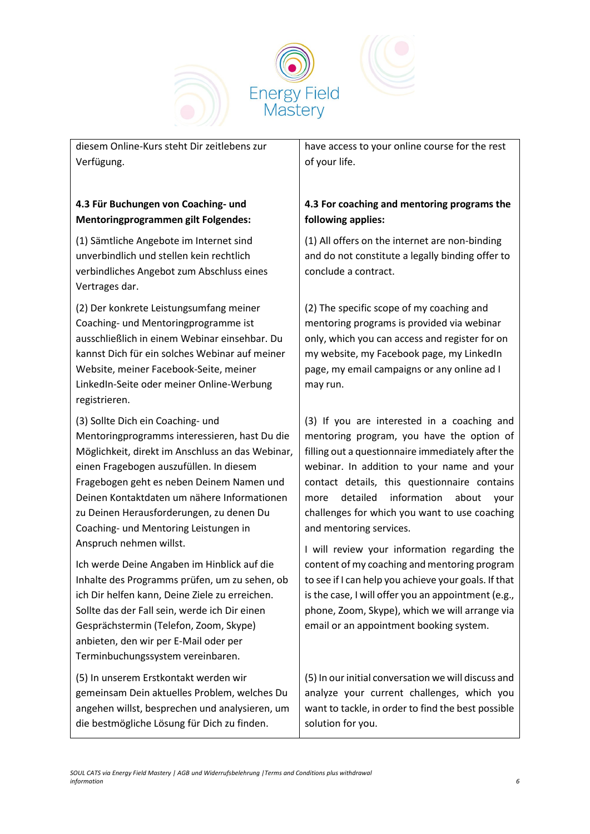

diesem Online-Kurs steht Dir zeitlebens zur Verfügung.

# **4.3 Für Buchungen von Coaching- und Mentoringprogrammen gilt Folgendes:**

(1) Sämtliche Angebote im Internet sind unverbindlich und stellen kein rechtlich verbindliches Angebot zum Abschluss eines Vertrages dar.

(2) Der konkrete Leistungsumfang meiner Coaching- und Mentoringprogramme ist ausschließlich in einem Webinar einsehbar. Du kannst Dich für ein solches Webinar auf meiner Website, meiner Facebook-Seite, meiner LinkedIn-Seite oder meiner Online-Werbung registrieren.

(3) Sollte Dich ein Coaching- und Mentoringprogramms interessieren, hast Du die Möglichkeit, direkt im Anschluss an das Webinar, einen Fragebogen auszufüllen. In diesem Fragebogen geht es neben Deinem Namen und Deinen Kontaktdaten um nähere Informationen zu Deinen Herausforderungen, zu denen Du Coaching- und Mentoring Leistungen in Anspruch nehmen willst.

Ich werde Deine Angaben im Hinblick auf die Inhalte des Programms prüfen, um zu sehen, ob ich Dir helfen kann, Deine Ziele zu erreichen. Sollte das der Fall sein, werde ich Dir einen Gesprächstermin (Telefon, Zoom, Skype) anbieten, den wir per E-Mail oder per Terminbuchungssystem vereinbaren.

(5) In unserem Erstkontakt werden wir gemeinsam Dein aktuelles Problem, welches Du angehen willst, besprechen und analysieren, um die bestmögliche Lösung für Dich zu finden.

have access to your online course for the rest of your life.

# **4.3 For coaching and mentoring programs the following applies:**

(1) All offers on the internet are non-binding and do not constitute a legally binding offer to conclude a contract.

(2) The specific scope of my coaching and mentoring programs is provided via webinar only, which you can access and register for on my website, my Facebook page, my LinkedIn page, my email campaigns or any online ad I may run.

(3) If you are interested in a coaching and mentoring program, you have the option of filling out a questionnaire immediately after the webinar. In addition to your name and your contact details, this questionnaire contains more detailed information about your challenges for which you want to use coaching and mentoring services.

I will review your information regarding the content of my coaching and mentoring program to see if I can help you achieve your goals. If that is the case, I will offer you an appointment (e.g., phone, Zoom, Skype), which we will arrange via email or an appointment booking system.

(5) In our initial conversation we will discuss and analyze your current challenges, which you want to tackle, in order to find the best possible solution for you.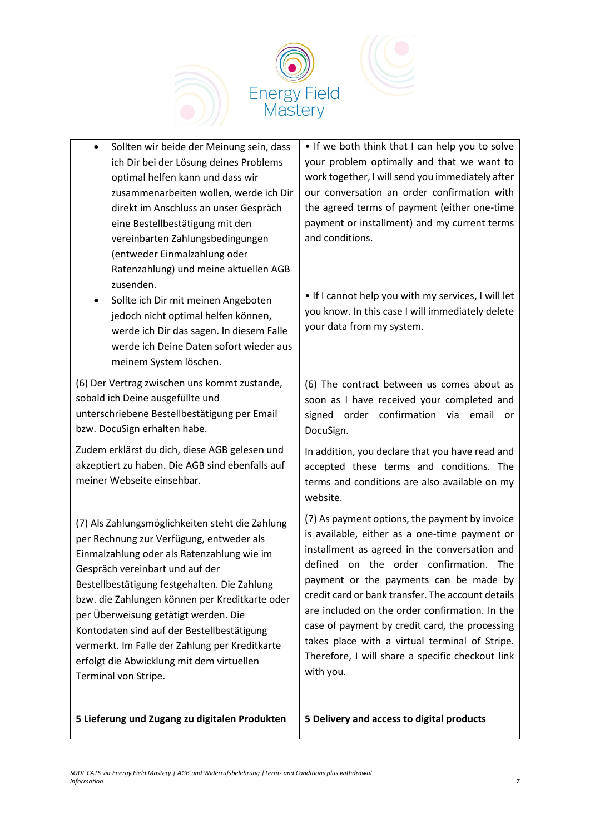

- Sollten wir beide der Meinung sein, dass ich Dir bei der Lösung deines Problems optimal helfen kann und dass wir zusammenarbeiten wollen, werde ich Dir direkt im Anschluss an unser Gespräch eine Bestellbestätigung mit den vereinbarten Zahlungsbedingungen (entweder Einmalzahlung oder Ratenzahlung) und meine aktuellen AGB zusenden.
- Sollte ich Dir mit meinen Angeboten jedoch nicht optimal helfen können, werde ich Dir das sagen. In diesem Falle werde ich Deine Daten sofort wieder aus meinem System löschen.

(6) Der Vertrag zwischen uns kommt zustande, sobald ich Deine ausgefüllte und unterschriebene Bestellbestätigung per Email bzw. DocuSign erhalten habe.

Zudem erklärst du dich, diese AGB gelesen und akzeptiert zu haben. Die AGB sind ebenfalls auf meiner Webseite einsehbar.

(7) Als Zahlungsmöglichkeiten steht die Zahlung per Rechnung zur Verfügung, entweder als Einmalzahlung oder als Ratenzahlung wie im Gespräch vereinbart und auf der Bestellbestätigung festgehalten. Die Zahlung bzw. die Zahlungen können per Kreditkarte oder per Überweisung getätigt werden. Die Kontodaten sind auf der Bestellbestätigung vermerkt. Im Falle der Zahlung per Kreditkarte erfolgt die Abwicklung mit dem virtuellen Terminal von Stripe.

• If we both think that I can help you to solve your problem optimally and that we want to work together, I will send you immediately after our conversation an order confirmation with the agreed terms of payment (either one-time payment or installment) and my current terms and conditions.

• If I cannot help you with my services, I will let you know. In this case I will immediately delete your data from my system.

(6) The contract between us comes about as soon as I have received your completed and signed order confirmation via email or DocuSign.

In addition, you declare that you have read and accepted these terms and conditions. The terms and conditions are also available on my website.

(7) As payment options, the payment by invoice is available, either as a one-time payment or installment as agreed in the conversation and defined on the order confirmation. The payment or the payments can be made by credit card or bank transfer. The account details are included on the order confirmation. In the case of payment by credit card, the processing takes place with a virtual terminal of Stripe. Therefore, I will share a specific checkout link with you.

**5 Lieferung und Zugang zu digitalen Produkten 5 Delivery and access to digital products**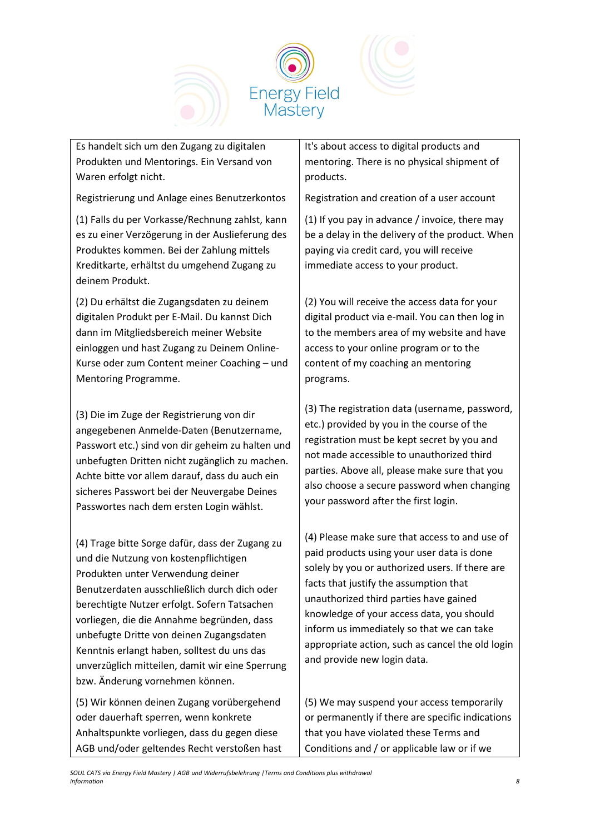

Es handelt sich um den Zugang zu digitalen Produkten und Mentorings. Ein Versand von Waren erfolgt nicht.

Registrierung und Anlage eines Benutzerkontos

(1) Falls du per Vorkasse/Rechnung zahlst, kann es zu einer Verzögerung in der Auslieferung des Produktes kommen. Bei der Zahlung mittels Kreditkarte, erhältst du umgehend Zugang zu deinem Produkt.

(2) Du erhältst die Zugangsdaten zu deinem digitalen Produkt per E-Mail. Du kannst Dich dann im Mitgliedsbereich meiner Website einloggen und hast Zugang zu Deinem Online-Kurse oder zum Content meiner Coaching – und Mentoring Programme.

(3) Die im Zuge der Registrierung von dir angegebenen Anmelde-Daten (Benutzername, Passwort etc.) sind von dir geheim zu halten und unbefugten Dritten nicht zugänglich zu machen. Achte bitte vor allem darauf, dass du auch ein sicheres Passwort bei der Neuvergabe Deines Passwortes nach dem ersten Login wählst.

(4) Trage bitte Sorge dafür, dass der Zugang zu und die Nutzung von kostenpflichtigen Produkten unter Verwendung deiner Benutzerdaten ausschließlich durch dich oder berechtigte Nutzer erfolgt. Sofern Tatsachen vorliegen, die die Annahme begründen, dass unbefugte Dritte von deinen Zugangsdaten Kenntnis erlangt haben, solltest du uns das unverzüglich mitteilen, damit wir eine Sperrung bzw. Änderung vornehmen können.

(5) Wir können deinen Zugang vorübergehend oder dauerhaft sperren, wenn konkrete Anhaltspunkte vorliegen, dass du gegen diese AGB und/oder geltendes Recht verstoßen hast It's about access to digital products and mentoring. There is no physical shipment of products.

Registration and creation of a user account

(1) If you pay in advance / invoice, there may be a delay in the delivery of the product. When paying via credit card, you will receive immediate access to your product.

(2) You will receive the access data for your digital product via e-mail. You can then log in to the members area of my website and have access to your online program or to the content of my coaching an mentoring programs.

(3) The registration data (username, password, etc.) provided by you in the course of the registration must be kept secret by you and not made accessible to unauthorized third parties. Above all, please make sure that you also choose a secure password when changing your password after the first login.

(4) Please make sure that access to and use of paid products using your user data is done solely by you or authorized users. If there are facts that justify the assumption that unauthorized third parties have gained knowledge of your access data, you should inform us immediately so that we can take appropriate action, such as cancel the old login and provide new login data.

(5) We may suspend your access temporarily or permanently if there are specific indications that you have violated these Terms and Conditions and / or applicable law or if we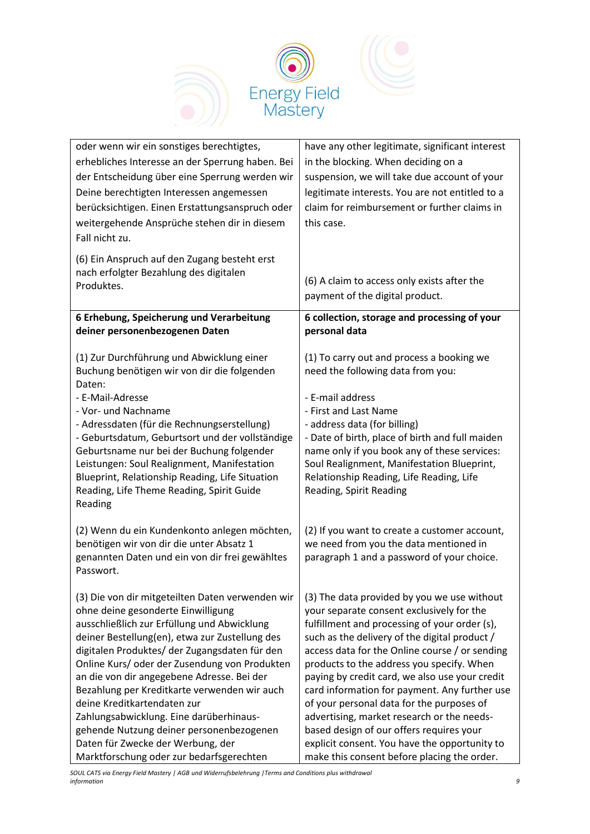

| oder wenn wir ein sonstiges berechtigtes,<br>erhebliches Interesse an der Sperrung haben. Bei<br>der Entscheidung über eine Sperrung werden wir<br>Deine berechtigten Interessen angemessen<br>berücksichtigen. Einen Erstattungsanspruch oder<br>weitergehende Ansprüche stehen dir in diesem<br>Fall nicht zu.                                                                                                                                                                                                                                                                               | have any other legitimate, significant interest<br>in the blocking. When deciding on a<br>suspension, we will take due account of your<br>legitimate interests. You are not entitled to a<br>claim for reimbursement or further claims in<br>this case.                                                                                                                                                                                                                                                                                                                                                                             |
|------------------------------------------------------------------------------------------------------------------------------------------------------------------------------------------------------------------------------------------------------------------------------------------------------------------------------------------------------------------------------------------------------------------------------------------------------------------------------------------------------------------------------------------------------------------------------------------------|-------------------------------------------------------------------------------------------------------------------------------------------------------------------------------------------------------------------------------------------------------------------------------------------------------------------------------------------------------------------------------------------------------------------------------------------------------------------------------------------------------------------------------------------------------------------------------------------------------------------------------------|
| (6) Ein Anspruch auf den Zugang besteht erst<br>nach erfolgter Bezahlung des digitalen<br>Produktes.                                                                                                                                                                                                                                                                                                                                                                                                                                                                                           | (6) A claim to access only exists after the<br>payment of the digital product.                                                                                                                                                                                                                                                                                                                                                                                                                                                                                                                                                      |
| 6 Erhebung, Speicherung und Verarbeitung<br>deiner personenbezogenen Daten                                                                                                                                                                                                                                                                                                                                                                                                                                                                                                                     | 6 collection, storage and processing of your<br>personal data                                                                                                                                                                                                                                                                                                                                                                                                                                                                                                                                                                       |
| (1) Zur Durchführung und Abwicklung einer<br>Buchung benötigen wir von dir die folgenden<br>Daten:                                                                                                                                                                                                                                                                                                                                                                                                                                                                                             | (1) To carry out and process a booking we<br>need the following data from you:                                                                                                                                                                                                                                                                                                                                                                                                                                                                                                                                                      |
| - E-Mail-Adresse<br>- Vor- und Nachname<br>- Adressdaten (für die Rechnungserstellung)<br>- Geburtsdatum, Geburtsort und der vollständige<br>Geburtsname nur bei der Buchung folgender<br>Leistungen: Soul Realignment, Manifestation<br>Blueprint, Relationship Reading, Life Situation<br>Reading, Life Theme Reading, Spirit Guide<br>Reading                                                                                                                                                                                                                                               | - E-mail address<br>- First and Last Name<br>- address data (for billing)<br>- Date of birth, place of birth and full maiden<br>name only if you book any of these services:<br>Soul Realignment, Manifestation Blueprint,<br>Relationship Reading, Life Reading, Life<br>Reading, Spirit Reading                                                                                                                                                                                                                                                                                                                                   |
| (2) Wenn du ein Kundenkonto anlegen möchten,<br>benötigen wir von dir die unter Absatz 1<br>genannten Daten und ein von dir frei gewähltes<br>Passwort.                                                                                                                                                                                                                                                                                                                                                                                                                                        | (2) If you want to create a customer account,<br>we need from you the data mentioned in<br>paragraph 1 and a password of your choice.                                                                                                                                                                                                                                                                                                                                                                                                                                                                                               |
| (3) Die von dir mitgeteilten Daten verwenden wir<br>ohne deine gesonderte Einwilligung<br>ausschließlich zur Erfüllung und Abwicklung<br>deiner Bestellung(en), etwa zur Zustellung des<br>digitalen Produktes/ der Zugangsdaten für den<br>Online Kurs/ oder der Zusendung von Produkten<br>an die von dir angegebene Adresse. Bei der<br>Bezahlung per Kreditkarte verwenden wir auch<br>deine Kreditkartendaten zur<br>Zahlungsabwicklung. Eine darüberhinaus-<br>gehende Nutzung deiner personenbezogenen<br>Daten für Zwecke der Werbung, der<br>Marktforschung oder zur bedarfsgerechten | (3) The data provided by you we use without<br>your separate consent exclusively for the<br>fulfillment and processing of your order (s),<br>such as the delivery of the digital product /<br>access data for the Online course / or sending<br>products to the address you specify. When<br>paying by credit card, we also use your credit<br>card information for payment. Any further use<br>of your personal data for the purposes of<br>advertising, market research or the needs-<br>based design of our offers requires your<br>explicit consent. You have the opportunity to<br>make this consent before placing the order. |

*SOUL CATS via Energy Field Mastery | AGB und Widerrufsbelehrung |Terms and Conditions plus withdrawal information 9*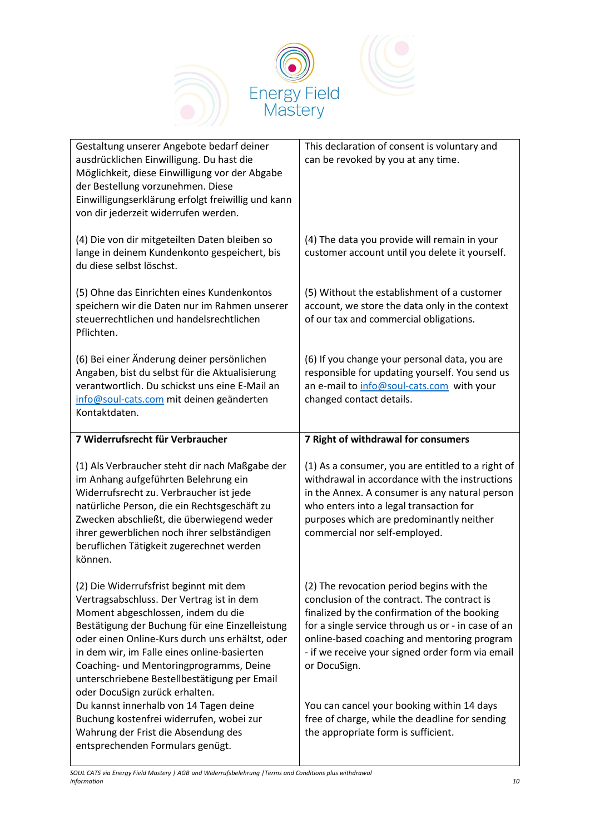

| Gestaltung unserer Angebote bedarf deiner<br>ausdrücklichen Einwilligung. Du hast die<br>Möglichkeit, diese Einwilligung vor der Abgabe<br>der Bestellung vorzunehmen. Diese<br>Einwilligungserklärung erfolgt freiwillig und kann<br>von dir jederzeit widerrufen werden.                                                                                                                                  | This declaration of consent is voluntary and<br>can be revoked by you at any time.                                                                                                                                                                                                                                |
|-------------------------------------------------------------------------------------------------------------------------------------------------------------------------------------------------------------------------------------------------------------------------------------------------------------------------------------------------------------------------------------------------------------|-------------------------------------------------------------------------------------------------------------------------------------------------------------------------------------------------------------------------------------------------------------------------------------------------------------------|
| (4) Die von dir mitgeteilten Daten bleiben so<br>lange in deinem Kundenkonto gespeichert, bis<br>du diese selbst löschst.                                                                                                                                                                                                                                                                                   | (4) The data you provide will remain in your<br>customer account until you delete it yourself.                                                                                                                                                                                                                    |
| (5) Ohne das Einrichten eines Kundenkontos<br>speichern wir die Daten nur im Rahmen unserer<br>steuerrechtlichen und handelsrechtlichen<br>Pflichten.                                                                                                                                                                                                                                                       | (5) Without the establishment of a customer<br>account, we store the data only in the context<br>of our tax and commercial obligations.                                                                                                                                                                           |
| (6) Bei einer Änderung deiner persönlichen<br>Angaben, bist du selbst für die Aktualisierung<br>verantwortlich. Du schickst uns eine E-Mail an<br>info@soul-cats.com mit deinen geänderten<br>Kontaktdaten.                                                                                                                                                                                                 | (6) If you change your personal data, you are<br>responsible for updating yourself. You send us<br>an e-mail to info@soul-cats.com with your<br>changed contact details.                                                                                                                                          |
| 7 Widerrufsrecht für Verbraucher                                                                                                                                                                                                                                                                                                                                                                            | 7 Right of withdrawal for consumers                                                                                                                                                                                                                                                                               |
| (1) Als Verbraucher steht dir nach Maßgabe der<br>im Anhang aufgeführten Belehrung ein<br>Widerrufsrecht zu. Verbraucher ist jede<br>natürliche Person, die ein Rechtsgeschäft zu                                                                                                                                                                                                                           | (1) As a consumer, you are entitled to a right of<br>withdrawal in accordance with the instructions<br>in the Annex. A consumer is any natural person                                                                                                                                                             |
| Zwecken abschließt, die überwiegend weder<br>ihrer gewerblichen noch ihrer selbständigen<br>beruflichen Tätigkeit zugerechnet werden<br>können.                                                                                                                                                                                                                                                             | who enters into a legal transaction for<br>purposes which are predominantly neither<br>commercial nor self-employed.                                                                                                                                                                                              |
| (2) Die Widerrufsfrist beginnt mit dem<br>Vertragsabschluss. Der Vertrag ist in dem<br>Moment abgeschlossen, indem du die<br>Bestätigung der Buchung für eine Einzelleistung<br>oder einen Online-Kurs durch uns erhältst, oder<br>in dem wir, im Falle eines online-basierten<br>Coaching- und Mentoringprogramms, Deine<br>unterschriebene Bestellbestätigung per Email<br>oder DocuSign zurück erhalten. | (2) The revocation period begins with the<br>conclusion of the contract. The contract is<br>finalized by the confirmation of the booking<br>for a single service through us or - in case of an<br>online-based coaching and mentoring program<br>- if we receive your signed order form via email<br>or DocuSign. |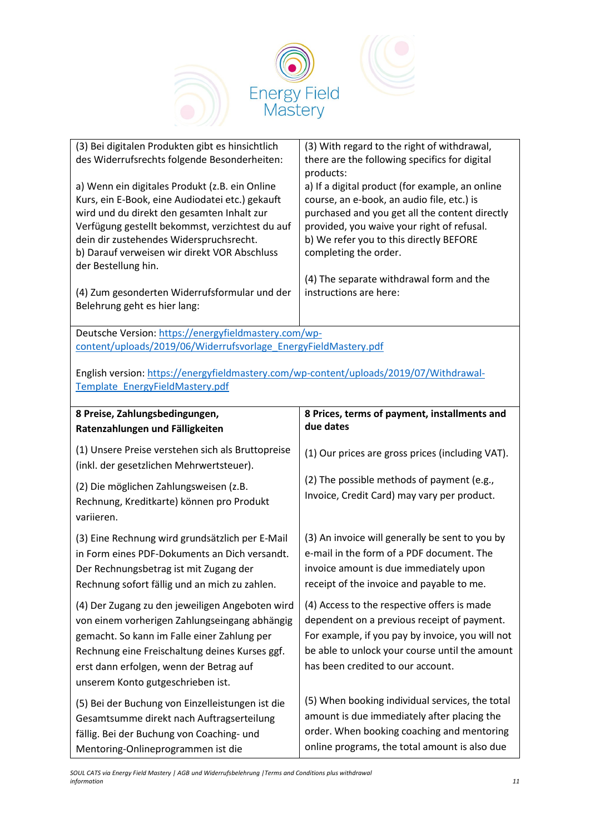

| (3) Bei digitalen Produkten gibt es hinsichtlich<br>des Widerrufsrechts folgende Besonderheiten:<br>a) Wenn ein digitales Produkt (z.B. ein Online<br>Kurs, ein E-Book, eine Audiodatei etc.) gekauft<br>wird und du direkt den gesamten Inhalt zur<br>Verfügung gestellt bekommst, verzichtest du auf<br>dein dir zustehendes Widerspruchsrecht.<br>b) Darauf verweisen wir direkt VOR Abschluss<br>der Bestellung hin.<br>(4) Zum gesonderten Widerrufsformular und der<br>Belehrung geht es hier lang: | (3) With regard to the right of withdrawal,<br>there are the following specifics for digital<br>products:<br>a) If a digital product (for example, an online<br>course, an e-book, an audio file, etc.) is<br>purchased and you get all the content directly<br>provided, you waive your right of refusal.<br>b) We refer you to this directly BEFORE<br>completing the order.<br>(4) The separate withdrawal form and the<br>instructions are here: |
|-----------------------------------------------------------------------------------------------------------------------------------------------------------------------------------------------------------------------------------------------------------------------------------------------------------------------------------------------------------------------------------------------------------------------------------------------------------------------------------------------------------|------------------------------------------------------------------------------------------------------------------------------------------------------------------------------------------------------------------------------------------------------------------------------------------------------------------------------------------------------------------------------------------------------------------------------------------------------|
| Deutsche Version: https://energyfieldmastery.com/wp-                                                                                                                                                                                                                                                                                                                                                                                                                                                      |                                                                                                                                                                                                                                                                                                                                                                                                                                                      |
| content/uploads/2019/06/Widerrufsvorlage EnergyFieldMastery.pdf                                                                                                                                                                                                                                                                                                                                                                                                                                           |                                                                                                                                                                                                                                                                                                                                                                                                                                                      |
| English version: https://energyfieldmastery.com/wp-content/uploads/2019/07/Withdrawal-<br>Template EnergyFieldMastery.pdf                                                                                                                                                                                                                                                                                                                                                                                 |                                                                                                                                                                                                                                                                                                                                                                                                                                                      |
| 8 Preise, Zahlungsbedingungen,                                                                                                                                                                                                                                                                                                                                                                                                                                                                            | 8 Prices, terms of payment, installments and<br>due dates                                                                                                                                                                                                                                                                                                                                                                                            |
| Ratenzahlungen und Fälligkeiten                                                                                                                                                                                                                                                                                                                                                                                                                                                                           |                                                                                                                                                                                                                                                                                                                                                                                                                                                      |
| (1) Unsere Preise verstehen sich als Bruttopreise<br>(inkl. der gesetzlichen Mehrwertsteuer).                                                                                                                                                                                                                                                                                                                                                                                                             | (1) Our prices are gross prices (including VAT).                                                                                                                                                                                                                                                                                                                                                                                                     |
| (2) Die möglichen Zahlungsweisen (z.B.<br>Rechnung, Kreditkarte) können pro Produkt<br>variieren.                                                                                                                                                                                                                                                                                                                                                                                                         | (2) The possible methods of payment (e.g.,<br>Invoice, Credit Card) may vary per product.                                                                                                                                                                                                                                                                                                                                                            |
| (3) Eine Rechnung wird grundsätzlich per E-Mail<br>in Form eines PDF-Dokuments an Dich versandt.<br>Der Rechnungsbetrag ist mit Zugang der<br>Rechnung sofort fällig und an mich zu zahlen.                                                                                                                                                                                                                                                                                                               | (3) An invoice will generally be sent to you by<br>e-mail in the form of a PDF document. The<br>invoice amount is due immediately upon<br>receipt of the invoice and payable to me.                                                                                                                                                                                                                                                                  |
| (4) Der Zugang zu den jeweiligen Angeboten wird<br>von einem vorherigen Zahlungseingang abhängig<br>gemacht. So kann im Falle einer Zahlung per<br>Rechnung eine Freischaltung deines Kurses ggf.<br>erst dann erfolgen, wenn der Betrag auf                                                                                                                                                                                                                                                              | (4) Access to the respective offers is made<br>dependent on a previous receipt of payment.<br>For example, if you pay by invoice, you will not<br>be able to unlock your course until the amount<br>has been credited to our account.                                                                                                                                                                                                                |
| unserem Konto gutgeschrieben ist.                                                                                                                                                                                                                                                                                                                                                                                                                                                                         |                                                                                                                                                                                                                                                                                                                                                                                                                                                      |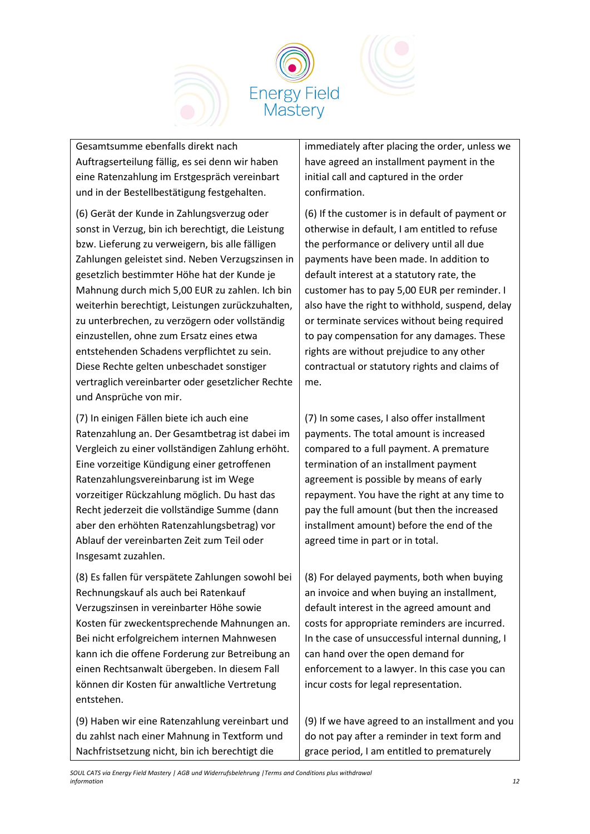

Gesamtsumme ebenfalls direkt nach Auftragserteilung fällig, es sei denn wir haben eine Ratenzahlung im Erstgespräch vereinbart und in der Bestellbestätigung festgehalten.

(6) Gerät der Kunde in Zahlungsverzug oder sonst in Verzug, bin ich berechtigt, die Leistung bzw. Lieferung zu verweigern, bis alle fälligen Zahlungen geleistet sind. Neben Verzugszinsen in gesetzlich bestimmter Höhe hat der Kunde je Mahnung durch mich 5,00 EUR zu zahlen. Ich bin weiterhin berechtigt, Leistungen zurückzuhalten, zu unterbrechen, zu verzögern oder vollständig einzustellen, ohne zum Ersatz eines etwa entstehenden Schadens verpflichtet zu sein. Diese Rechte gelten unbeschadet sonstiger vertraglich vereinbarter oder gesetzlicher Rechte und Ansprüche von mir.

(7) In einigen Fällen biete ich auch eine Ratenzahlung an. Der Gesamtbetrag ist dabei im Vergleich zu einer vollständigen Zahlung erhöht. Eine vorzeitige Kündigung einer getroffenen Ratenzahlungsvereinbarung ist im Wege vorzeitiger Rückzahlung möglich. Du hast das Recht jederzeit die vollständige Summe (dann aber den erhöhten Ratenzahlungsbetrag) vor Ablauf der vereinbarten Zeit zum Teil oder Insgesamt zuzahlen.

(8) Es fallen für verspätete Zahlungen sowohl bei Rechnungskauf als auch bei Ratenkauf Verzugszinsen in vereinbarter Höhe sowie Kosten für zweckentsprechende Mahnungen an. Bei nicht erfolgreichem internen Mahnwesen kann ich die offene Forderung zur Betreibung an einen Rechtsanwalt übergeben. In diesem Fall können dir Kosten für anwaltliche Vertretung entstehen.

(9) Haben wir eine Ratenzahlung vereinbart und du zahlst nach einer Mahnung in Textform und Nachfristsetzung nicht, bin ich berechtigt die

immediately after placing the order, unless we have agreed an installment payment in the initial call and captured in the order confirmation.

(6) If the customer is in default of payment or otherwise in default, I am entitled to refuse the performance or delivery until all due payments have been made. In addition to default interest at a statutory rate, the customer has to pay 5,00 EUR per reminder. I also have the right to withhold, suspend, delay or terminate services without being required to pay compensation for any damages. These rights are without prejudice to any other contractual or statutory rights and claims of me.

(7) In some cases, I also offer installment payments. The total amount is increased compared to a full payment. A premature termination of an installment payment agreement is possible by means of early repayment. You have the right at any time to pay the full amount (but then the increased installment amount) before the end of the agreed time in part or in total.

(8) For delayed payments, both when buying an invoice and when buying an installment, default interest in the agreed amount and costs for appropriate reminders are incurred. In the case of unsuccessful internal dunning, I can hand over the open demand for enforcement to a lawyer. In this case you can incur costs for legal representation.

(9) If we have agreed to an installment and you do not pay after a reminder in text form and grace period, I am entitled to prematurely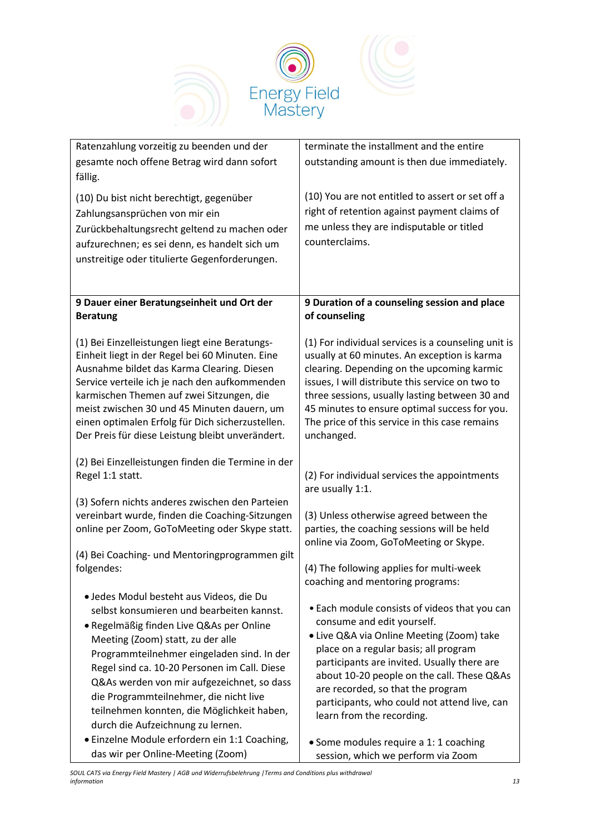

| Ratenzahlung vorzeitig zu beenden und der                                                          | terminate the installment and the entire                                                           |
|----------------------------------------------------------------------------------------------------|----------------------------------------------------------------------------------------------------|
| gesamte noch offene Betrag wird dann sofort                                                        | outstanding amount is then due immediately.                                                        |
| fällig.                                                                                            |                                                                                                    |
| (10) Du bist nicht berechtigt, gegenüber                                                           | (10) You are not entitled to assert or set off a                                                   |
| Zahlungsansprüchen von mir ein                                                                     | right of retention against payment claims of                                                       |
| Zurückbehaltungsrecht geltend zu machen oder                                                       | me unless they are indisputable or titled                                                          |
| aufzurechnen; es sei denn, es handelt sich um                                                      | counterclaims.                                                                                     |
| unstreitige oder titulierte Gegenforderungen.                                                      |                                                                                                    |
|                                                                                                    |                                                                                                    |
|                                                                                                    |                                                                                                    |
| 9 Dauer einer Beratungseinheit und Ort der                                                         | 9 Duration of a counseling session and place                                                       |
| <b>Beratung</b>                                                                                    | of counseling                                                                                      |
|                                                                                                    |                                                                                                    |
| (1) Bei Einzelleistungen liegt eine Beratungs-                                                     | (1) For individual services is a counseling unit is                                                |
| Einheit liegt in der Regel bei 60 Minuten. Eine                                                    | usually at 60 minutes. An exception is karma                                                       |
| Ausnahme bildet das Karma Clearing. Diesen                                                         | clearing. Depending on the upcoming karmic                                                         |
| Service verteile ich je nach den aufkommenden<br>karmischen Themen auf zwei Sitzungen, die         | issues, I will distribute this service on two to<br>three sessions, usually lasting between 30 and |
| meist zwischen 30 und 45 Minuten dauern, um                                                        | 45 minutes to ensure optimal success for you.                                                      |
| einen optimalen Erfolg für Dich sicherzustellen.                                                   | The price of this service in this case remains                                                     |
| Der Preis für diese Leistung bleibt unverändert.                                                   | unchanged.                                                                                         |
|                                                                                                    |                                                                                                    |
| (2) Bei Einzelleistungen finden die Termine in der                                                 |                                                                                                    |
| Regel 1:1 statt.                                                                                   | (2) For individual services the appointments                                                       |
|                                                                                                    | are usually 1:1.                                                                                   |
| (3) Sofern nichts anderes zwischen den Parteien<br>vereinbart wurde, finden die Coaching-Sitzungen | (3) Unless otherwise agreed between the                                                            |
| online per Zoom, GoToMeeting oder Skype statt.                                                     | parties, the coaching sessions will be held                                                        |
|                                                                                                    | online via Zoom, GoToMeeting or Skype.                                                             |
| (4) Bei Coaching- und Mentoringprogrammen gilt                                                     |                                                                                                    |
| folgendes:                                                                                         | (4) The following applies for multi-week                                                           |
|                                                                                                    | coaching and mentoring programs:                                                                   |
| · Jedes Modul besteht aus Videos, die Du                                                           |                                                                                                    |
| selbst konsumieren und bearbeiten kannst.                                                          | • Each module consists of videos that you can<br>consume and edit yourself.                        |
| · Regelmäßig finden Live Q&As per Online                                                           | • Live Q&A via Online Meeting (Zoom) take                                                          |
| Meeting (Zoom) statt, zu der alle                                                                  | place on a regular basis; all program                                                              |
| Programmteilnehmer eingeladen sind. In der                                                         | participants are invited. Usually there are                                                        |
| Regel sind ca. 10-20 Personen im Call. Diese<br>Q&As werden von mir aufgezeichnet, so dass         | about 10-20 people on the call. These Q&As                                                         |
| die Programmteilnehmer, die nicht live                                                             | are recorded, so that the program                                                                  |
| teilnehmen konnten, die Möglichkeit haben,                                                         | participants, who could not attend live, can                                                       |
| durch die Aufzeichnung zu lernen.                                                                  | learn from the recording.                                                                          |
| · Einzelne Module erfordern ein 1:1 Coaching,                                                      | • Some modules require a 1: 1 coaching                                                             |
| das wir per Online-Meeting (Zoom)                                                                  | session, which we perform via Zoom                                                                 |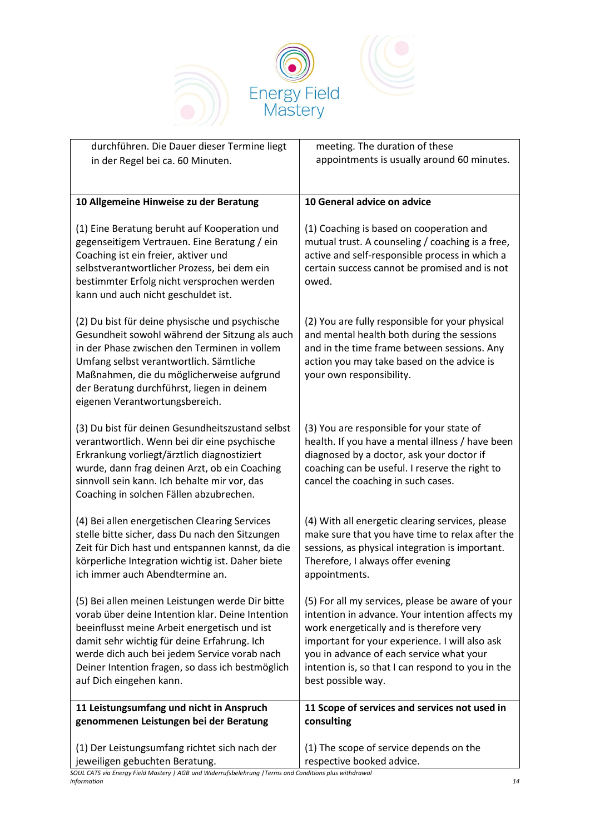

| durchführen. Die Dauer dieser Termine liegt                                                                                                                                                                                                                                                                                       | meeting. The duration of these                                                                                                                                                                                                                                                                                           |
|-----------------------------------------------------------------------------------------------------------------------------------------------------------------------------------------------------------------------------------------------------------------------------------------------------------------------------------|--------------------------------------------------------------------------------------------------------------------------------------------------------------------------------------------------------------------------------------------------------------------------------------------------------------------------|
| in der Regel bei ca. 60 Minuten.                                                                                                                                                                                                                                                                                                  | appointments is usually around 60 minutes.                                                                                                                                                                                                                                                                               |
|                                                                                                                                                                                                                                                                                                                                   |                                                                                                                                                                                                                                                                                                                          |
| 10 Allgemeine Hinweise zu der Beratung                                                                                                                                                                                                                                                                                            | 10 General advice on advice                                                                                                                                                                                                                                                                                              |
| (1) Eine Beratung beruht auf Kooperation und<br>gegenseitigem Vertrauen. Eine Beratung / ein<br>Coaching ist ein freier, aktiver und<br>selbstverantwortlicher Prozess, bei dem ein<br>bestimmter Erfolg nicht versprochen werden<br>kann und auch nicht geschuldet ist.                                                          | (1) Coaching is based on cooperation and<br>mutual trust. A counseling / coaching is a free,<br>active and self-responsible process in which a<br>certain success cannot be promised and is not<br>owed.                                                                                                                 |
| (2) Du bist für deine physische und psychische<br>Gesundheit sowohl während der Sitzung als auch<br>in der Phase zwischen den Terminen in vollem<br>Umfang selbst verantwortlich. Sämtliche<br>Maßnahmen, die du möglicherweise aufgrund<br>der Beratung durchführst, liegen in deinem<br>eigenen Verantwortungsbereich.          | (2) You are fully responsible for your physical<br>and mental health both during the sessions<br>and in the time frame between sessions. Any<br>action you may take based on the advice is<br>your own responsibility.                                                                                                   |
| (3) Du bist für deinen Gesundheitszustand selbst<br>verantwortlich. Wenn bei dir eine psychische<br>Erkrankung vorliegt/ärztlich diagnostiziert<br>wurde, dann frag deinen Arzt, ob ein Coaching<br>sinnvoll sein kann. Ich behalte mir vor, das<br>Coaching in solchen Fällen abzubrechen.                                       | (3) You are responsible for your state of<br>health. If you have a mental illness / have been<br>diagnosed by a doctor, ask your doctor if<br>coaching can be useful. I reserve the right to<br>cancel the coaching in such cases.                                                                                       |
| (4) Bei allen energetischen Clearing Services<br>stelle bitte sicher, dass Du nach den Sitzungen<br>Zeit für Dich hast und entspannen kannst, da die<br>körperliche Integration wichtig ist. Daher biete<br>ich immer auch Abendtermine an.                                                                                       | (4) With all energetic clearing services, please<br>make sure that you have time to relax after the<br>sessions, as physical integration is important.<br>Therefore, I always offer evening<br>appointments.                                                                                                             |
| (5) Bei allen meinen Leistungen werde Dir bitte<br>vorab über deine Intention klar. Deine Intention<br>beeinflusst meine Arbeit energetisch und ist<br>damit sehr wichtig für deine Erfahrung. Ich<br>werde dich auch bei jedem Service vorab nach<br>Deiner Intention fragen, so dass ich bestmöglich<br>auf Dich eingehen kann. | (5) For all my services, please be aware of your<br>intention in advance. Your intention affects my<br>work energetically and is therefore very<br>important for your experience. I will also ask<br>you in advance of each service what your<br>intention is, so that I can respond to you in the<br>best possible way. |
| 11 Leistungsumfang und nicht in Anspruch<br>genommenen Leistungen bei der Beratung                                                                                                                                                                                                                                                | 11 Scope of services and services not used in<br>consulting                                                                                                                                                                                                                                                              |
| (1) Der Leistungsumfang richtet sich nach der<br>jeweiligen gebuchten Beratung.                                                                                                                                                                                                                                                   | (1) The scope of service depends on the<br>respective booked advice.                                                                                                                                                                                                                                                     |

*SOUL CATS via Energy Field Mastery | AGB und Widerrufsbelehrung |Terms and Conditions plus withdrawal information 14*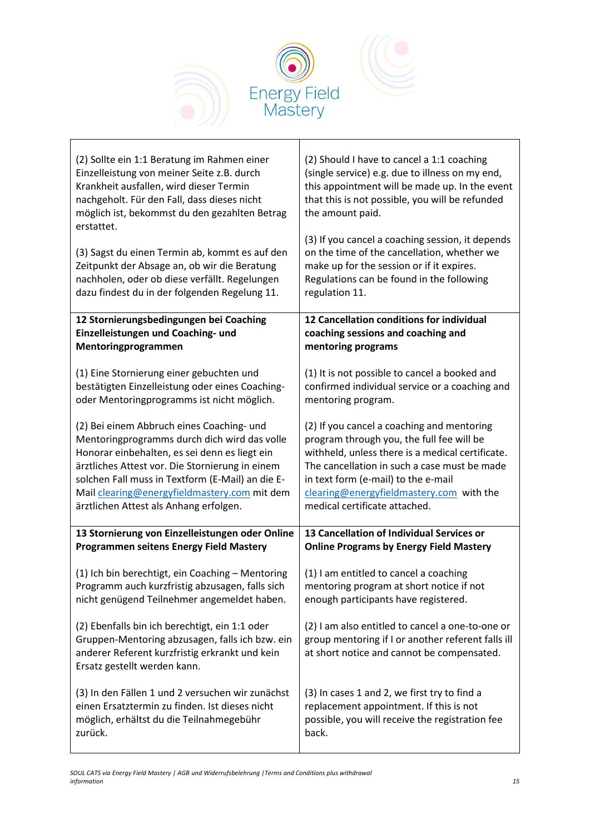

| (2) Sollte ein 1:1 Beratung im Rahmen einer                                                                                                                                         | (2) Should I have to cancel a 1:1 coaching                                                                                                           |
|-------------------------------------------------------------------------------------------------------------------------------------------------------------------------------------|------------------------------------------------------------------------------------------------------------------------------------------------------|
| Einzelleistung von meiner Seite z.B. durch                                                                                                                                          | (single service) e.g. due to illness on my end,                                                                                                      |
| Krankheit ausfallen, wird dieser Termin                                                                                                                                             | this appointment will be made up. In the event                                                                                                       |
| nachgeholt. Für den Fall, dass dieses nicht                                                                                                                                         | that this is not possible, you will be refunded                                                                                                      |
| möglich ist, bekommst du den gezahlten Betrag                                                                                                                                       | the amount paid.                                                                                                                                     |
| erstattet.                                                                                                                                                                          | (3) If you cancel a coaching session, it depends                                                                                                     |
| (3) Sagst du einen Termin ab, kommt es auf den                                                                                                                                      | on the time of the cancellation, whether we                                                                                                          |
| Zeitpunkt der Absage an, ob wir die Beratung                                                                                                                                        | make up for the session or if it expires.                                                                                                            |
| nachholen, oder ob diese verfällt. Regelungen                                                                                                                                       | Regulations can be found in the following                                                                                                            |
| dazu findest du in der folgenden Regelung 11.                                                                                                                                       | regulation 11.                                                                                                                                       |
| 12 Stornierungsbedingungen bei Coaching                                                                                                                                             | 12 Cancellation conditions for individual                                                                                                            |
| Einzelleistungen und Coaching- und                                                                                                                                                  | coaching sessions and coaching and                                                                                                                   |
| Mentoringprogrammen                                                                                                                                                                 | mentoring programs                                                                                                                                   |
| (1) Eine Stornierung einer gebuchten und                                                                                                                                            | (1) It is not possible to cancel a booked and                                                                                                        |
| bestätigten Einzelleistung oder eines Coaching-                                                                                                                                     | confirmed individual service or a coaching and                                                                                                       |
| oder Mentoringprogramms ist nicht möglich.                                                                                                                                          | mentoring program.                                                                                                                                   |
| (2) Bei einem Abbruch eines Coaching- und                                                                                                                                           | (2) If you cancel a coaching and mentoring                                                                                                           |
| Mentoringprogramms durch dich wird das volle                                                                                                                                        | program through you, the full fee will be                                                                                                            |
| Honorar einbehalten, es sei denn es liegt ein                                                                                                                                       | withheld, unless there is a medical certificate.                                                                                                     |
| ärztliches Attest vor. Die Stornierung in einem                                                                                                                                     | The cancellation in such a case must be made                                                                                                         |
| solchen Fall muss in Textform (E-Mail) an die E-                                                                                                                                    | in text form (e-mail) to the e-mail                                                                                                                  |
| Mail clearing@energyfieldmastery.com mit dem                                                                                                                                        | clearing@energyfieldmastery.com with the                                                                                                             |
| ärztlichen Attest als Anhang erfolgen.                                                                                                                                              | medical certificate attached.                                                                                                                        |
| 13 Stornierung von Einzelleistungen oder Online                                                                                                                                     | 13 Cancellation of Individual Services or                                                                                                            |
| <b>Programmen seitens Energy Field Mastery</b>                                                                                                                                      | <b>Online Programs by Energy Field Mastery</b>                                                                                                       |
| (1) Ich bin berechtigt, ein Coaching - Mentoring                                                                                                                                    | (1) I am entitled to cancel a coaching                                                                                                               |
| Programm auch kurzfristig abzusagen, falls sich                                                                                                                                     | mentoring program at short notice if not                                                                                                             |
| nicht genügend Teilnehmer angemeldet haben.                                                                                                                                         | enough participants have registered.                                                                                                                 |
| (2) Ebenfalls bin ich berechtigt, ein 1:1 oder<br>Gruppen-Mentoring abzusagen, falls ich bzw. ein<br>anderer Referent kurzfristig erkrankt und kein<br>Ersatz gestellt werden kann. | (2) I am also entitled to cancel a one-to-one or<br>group mentoring if I or another referent falls ill<br>at short notice and cannot be compensated. |
| (3) In den Fällen 1 und 2 versuchen wir zunächst                                                                                                                                    |                                                                                                                                                      |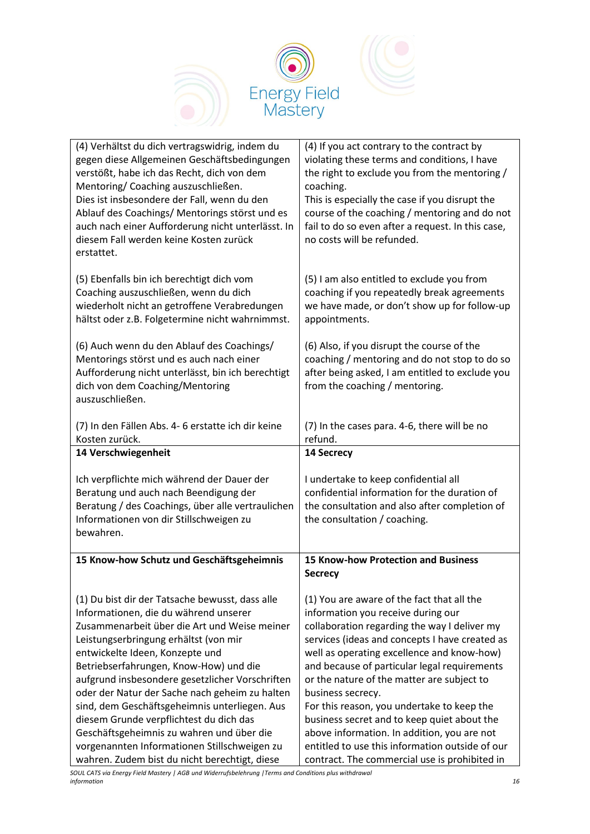

| (4) Verhältst du dich vertragswidrig, indem du<br>gegen diese Allgemeinen Geschäftsbedingungen<br>verstößt, habe ich das Recht, dich von dem<br>Mentoring/Coaching auszuschließen.<br>Dies ist insbesondere der Fall, wenn du den<br>Ablauf des Coachings/ Mentorings störst und es<br>auch nach einer Aufforderung nicht unterlässt. In<br>diesem Fall werden keine Kosten zurück<br>erstattet.                                                                                                                                                                                                              | (4) If you act contrary to the contract by<br>violating these terms and conditions, I have<br>the right to exclude you from the mentoring /<br>coaching.<br>This is especially the case if you disrupt the<br>course of the coaching / mentoring and do not<br>fail to do so even after a request. In this case,<br>no costs will be refunded.                                                                                                                                                                                                                                                      |
|---------------------------------------------------------------------------------------------------------------------------------------------------------------------------------------------------------------------------------------------------------------------------------------------------------------------------------------------------------------------------------------------------------------------------------------------------------------------------------------------------------------------------------------------------------------------------------------------------------------|-----------------------------------------------------------------------------------------------------------------------------------------------------------------------------------------------------------------------------------------------------------------------------------------------------------------------------------------------------------------------------------------------------------------------------------------------------------------------------------------------------------------------------------------------------------------------------------------------------|
| (5) Ebenfalls bin ich berechtigt dich vom<br>Coaching auszuschließen, wenn du dich<br>wiederholt nicht an getroffene Verabredungen<br>hältst oder z.B. Folgetermine nicht wahrnimmst.                                                                                                                                                                                                                                                                                                                                                                                                                         | (5) I am also entitled to exclude you from<br>coaching if you repeatedly break agreements<br>we have made, or don't show up for follow-up<br>appointments.                                                                                                                                                                                                                                                                                                                                                                                                                                          |
| (6) Auch wenn du den Ablauf des Coachings/<br>Mentorings störst und es auch nach einer<br>Aufforderung nicht unterlässt, bin ich berechtigt<br>dich von dem Coaching/Mentoring<br>auszuschließen.                                                                                                                                                                                                                                                                                                                                                                                                             | (6) Also, if you disrupt the course of the<br>coaching / mentoring and do not stop to do so<br>after being asked, I am entitled to exclude you<br>from the coaching / mentoring.                                                                                                                                                                                                                                                                                                                                                                                                                    |
| (7) In den Fällen Abs. 4-6 erstatte ich dir keine<br>Kosten zurück.                                                                                                                                                                                                                                                                                                                                                                                                                                                                                                                                           | (7) In the cases para. 4-6, there will be no<br>refund.                                                                                                                                                                                                                                                                                                                                                                                                                                                                                                                                             |
| 14 Verschwiegenheit                                                                                                                                                                                                                                                                                                                                                                                                                                                                                                                                                                                           | 14 Secrecy                                                                                                                                                                                                                                                                                                                                                                                                                                                                                                                                                                                          |
| Ich verpflichte mich während der Dauer der<br>Beratung und auch nach Beendigung der<br>Beratung / des Coachings, über alle vertraulichen<br>Informationen von dir Stillschweigen zu<br>bewahren.                                                                                                                                                                                                                                                                                                                                                                                                              | I undertake to keep confidential all<br>confidential information for the duration of<br>the consultation and also after completion of<br>the consultation / coaching.                                                                                                                                                                                                                                                                                                                                                                                                                               |
| 15 Know-how Schutz und Geschäftsgeheimnis                                                                                                                                                                                                                                                                                                                                                                                                                                                                                                                                                                     | <b>15 Know-how Protection and Business</b><br><b>Secrecy</b>                                                                                                                                                                                                                                                                                                                                                                                                                                                                                                                                        |
| (1) Du bist dir der Tatsache bewusst, dass alle<br>Informationen, die du während unserer<br>Zusammenarbeit über die Art und Weise meiner<br>Leistungserbringung erhältst (von mir<br>entwickelte Ideen, Konzepte und<br>Betriebserfahrungen, Know-How) und die<br>aufgrund insbesondere gesetzlicher Vorschriften<br>oder der Natur der Sache nach geheim zu halten<br>sind, dem Geschäftsgeheimnis unterliegen. Aus<br>diesem Grunde verpflichtest du dich das<br>Geschäftsgeheimnis zu wahren und über die<br>vorgenannten Informationen Stillschweigen zu<br>wahren. Zudem bist du nicht berechtigt, diese | (1) You are aware of the fact that all the<br>information you receive during our<br>collaboration regarding the way I deliver my<br>services (ideas and concepts I have created as<br>well as operating excellence and know-how)<br>and because of particular legal requirements<br>or the nature of the matter are subject to<br>business secrecy.<br>For this reason, you undertake to keep the<br>business secret and to keep quiet about the<br>above information. In addition, you are not<br>entitled to use this information outside of our<br>contract. The commercial use is prohibited in |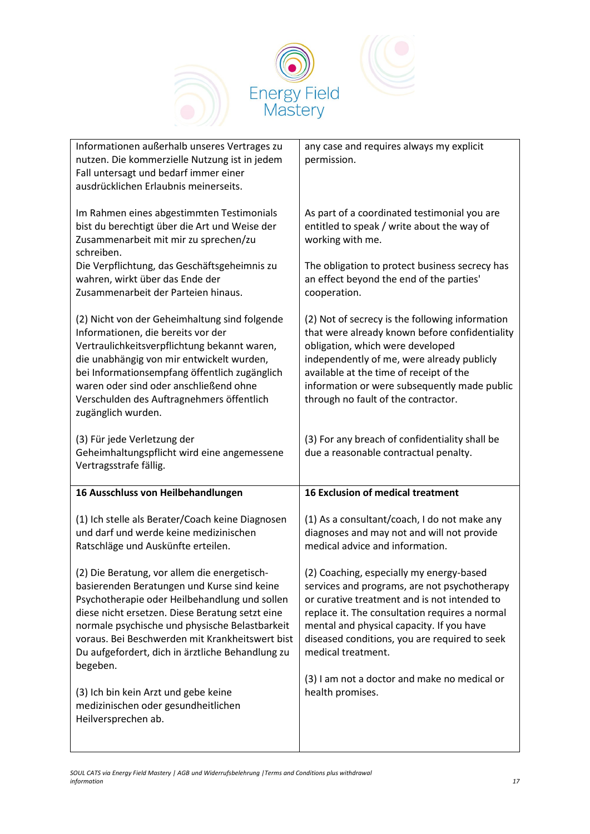

| Informationen außerhalb unseres Vertrages zu<br>nutzen. Die kommerzielle Nutzung ist in jedem<br>Fall untersagt und bedarf immer einer<br>ausdrücklichen Erlaubnis meinerseits.                                                                                                                                                                                      | any case and requires always my explicit<br>permission.                                                                                                                                                                                                                                                               |
|----------------------------------------------------------------------------------------------------------------------------------------------------------------------------------------------------------------------------------------------------------------------------------------------------------------------------------------------------------------------|-----------------------------------------------------------------------------------------------------------------------------------------------------------------------------------------------------------------------------------------------------------------------------------------------------------------------|
| Im Rahmen eines abgestimmten Testimonials<br>bist du berechtigt über die Art und Weise der<br>Zusammenarbeit mit mir zu sprechen/zu<br>schreiben.                                                                                                                                                                                                                    | As part of a coordinated testimonial you are<br>entitled to speak / write about the way of<br>working with me.                                                                                                                                                                                                        |
| Die Verpflichtung, das Geschäftsgeheimnis zu<br>wahren, wirkt über das Ende der<br>Zusammenarbeit der Parteien hinaus.                                                                                                                                                                                                                                               | The obligation to protect business secrecy has<br>an effect beyond the end of the parties'<br>cooperation.                                                                                                                                                                                                            |
| (2) Nicht von der Geheimhaltung sind folgende<br>Informationen, die bereits vor der<br>Vertraulichkeitsverpflichtung bekannt waren,<br>die unabhängig von mir entwickelt wurden,<br>bei Informationsempfang öffentlich zugänglich<br>waren oder sind oder anschließend ohne<br>Verschulden des Auftragnehmers öffentlich<br>zugänglich wurden.                       | (2) Not of secrecy is the following information<br>that were already known before confidentiality<br>obligation, which were developed<br>independently of me, were already publicly<br>available at the time of receipt of the<br>information or were subsequently made public<br>through no fault of the contractor. |
| (3) Für jede Verletzung der<br>Geheimhaltungspflicht wird eine angemessene<br>Vertragsstrafe fällig.                                                                                                                                                                                                                                                                 | (3) For any breach of confidentiality shall be<br>due a reasonable contractual penalty.                                                                                                                                                                                                                               |
| 16 Ausschluss von Heilbehandlungen                                                                                                                                                                                                                                                                                                                                   | <b>16 Exclusion of medical treatment</b>                                                                                                                                                                                                                                                                              |
| (1) Ich stelle als Berater/Coach keine Diagnosen<br>und darf und werde keine medizinischen<br>Ratschläge und Auskünfte erteilen.                                                                                                                                                                                                                                     | (1) As a consultant/coach, I do not make any<br>diagnoses and may not and will not provide<br>medical advice and information.                                                                                                                                                                                         |
| (2) Die Beratung, vor allem die energetisch-<br>basierenden Beratungen und Kurse sind keine<br>Psychotherapie oder Heilbehandlung und sollen<br>diese nicht ersetzen. Diese Beratung setzt eine<br>normale psychische und physische Belastbarkeit<br>voraus. Bei Beschwerden mit Krankheitswert bist<br>Du aufgefordert, dich in ärztliche Behandlung zu<br>begeben. | (2) Coaching, especially my energy-based<br>services and programs, are not psychotherapy<br>or curative treatment and is not intended to<br>replace it. The consultation requires a normal<br>mental and physical capacity. If you have<br>diseased conditions, you are required to seek<br>medical treatment.        |
| (3) Ich bin kein Arzt und gebe keine<br>medizinischen oder gesundheitlichen<br>Heilversprechen ab.                                                                                                                                                                                                                                                                   | (3) I am not a doctor and make no medical or<br>health promises.                                                                                                                                                                                                                                                      |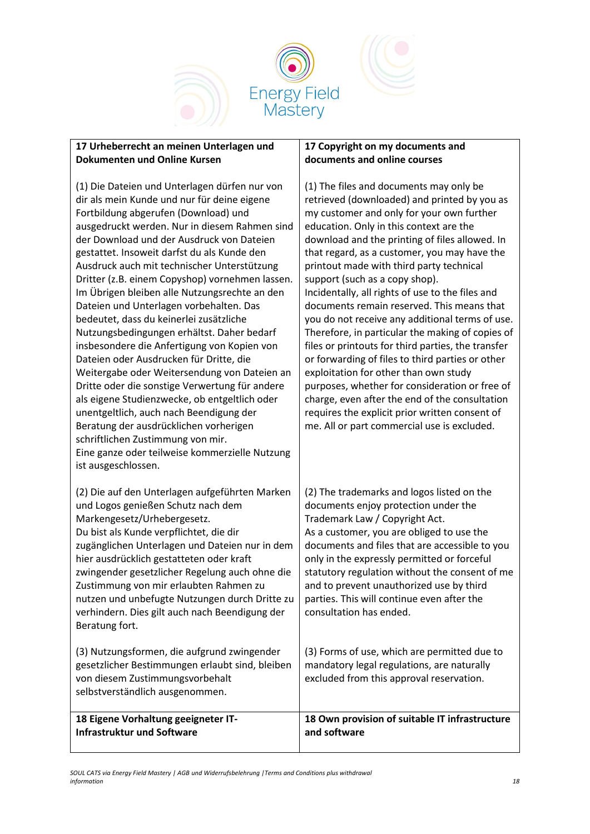

### **17 Urheberrecht an meinen Unterlagen und Dokumenten und Online Kursen**

(1) Die Dateien und Unterlagen dürfen nur von dir als mein Kunde und nur für deine eigene Fortbildung abgerufen (Download) und ausgedruckt werden. Nur in diesem Rahmen sind der Download und der Ausdruck von Dateien gestattet. Insoweit darfst du als Kunde den Ausdruck auch mit technischer Unterstützung Dritter (z.B. einem Copyshop) vornehmen lassen. Im Übrigen bleiben alle Nutzungsrechte an den Dateien und Unterlagen vorbehalten. Das bedeutet, dass du keinerlei zusätzliche Nutzungsbedingungen erhältst. Daher bedarf insbesondere die Anfertigung von Kopien von Dateien oder Ausdrucken für Dritte, die Weitergabe oder Weitersendung von Dateien an Dritte oder die sonstige Verwertung für andere als eigene Studienzwecke, ob entgeltlich oder unentgeltlich, auch nach Beendigung der Beratung der ausdrücklichen vorherigen schriftlichen Zustimmung von mir. Eine ganze oder teilweise kommerzielle Nutzung ist ausgeschlossen.

(2) Die auf den Unterlagen aufgeführten Marken und Logos genießen Schutz nach dem Markengesetz/Urhebergesetz. Du bist als Kunde verpflichtet, die dir zugänglichen Unterlagen und Dateien nur in dem hier ausdrücklich gestatteten oder kraft zwingender gesetzlicher Regelung auch ohne die Zustimmung von mir erlaubten Rahmen zu nutzen und unbefugte Nutzungen durch Dritte zu verhindern. Dies gilt auch nach Beendigung der Beratung fort.

(3) Nutzungsformen, die aufgrund zwingender gesetzlicher Bestimmungen erlaubt sind, bleiben von diesem Zustimmungsvorbehalt selbstverständlich ausgenommen.

**18 Eigene Vorhaltung geeigneter IT-Infrastruktur und Software**

#### **17 Copyright on my documents and documents and online courses**

(1) The files and documents may only be retrieved (downloaded) and printed by you as my customer and only for your own further education. Only in this context are the download and the printing of files allowed. In that regard, as a customer, you may have the printout made with third party technical support (such as a copy shop). Incidentally, all rights of use to the files and documents remain reserved. This means that you do not receive any additional terms of use. Therefore, in particular the making of copies of files or printouts for third parties, the transfer or forwarding of files to third parties or other exploitation for other than own study purposes, whether for consideration or free of charge, even after the end of the consultation requires the explicit prior written consent of me. All or part commercial use is excluded. (2) The trademarks and logos listed on the documents enjoy protection under the Trademark Law / Copyright Act. As a customer, you are obliged to use the documents and files that are accessible to you only in the expressly permitted or forceful statutory regulation without the consent of me and to prevent unauthorized use by third parties. This will continue even after the consultation has ended. (3) Forms of use, which are permitted due to mandatory legal regulations, are naturally excluded from this approval reservation.

> **18 Own provision of suitable IT infrastructure and software**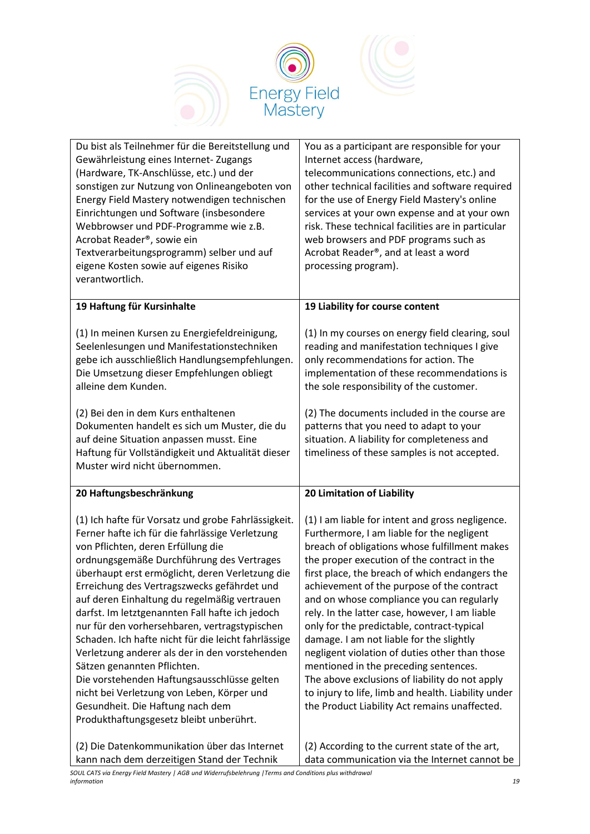

| Du bist als Teilnehmer für die Bereitstellung und<br>Gewährleistung eines Internet-Zugangs<br>(Hardware, TK-Anschlüsse, etc.) und der<br>sonstigen zur Nutzung von Onlineangeboten von<br>Energy Field Mastery notwendigen technischen<br>Einrichtungen und Software (insbesondere<br>Webbrowser und PDF-Programme wie z.B.<br>Acrobat Reader®, sowie ein<br>Textverarbeitungsprogramm) selber und auf<br>eigene Kosten sowie auf eigenes Risiko<br>verantwortlich.                                                                                                                                                                                                                                                                                                 | You as a participant are responsible for your<br>Internet access (hardware,<br>telecommunications connections, etc.) and<br>other technical facilities and software required<br>for the use of Energy Field Mastery's online<br>services at your own expense and at your own<br>risk. These technical facilities are in particular<br>web browsers and PDF programs such as<br>Acrobat Reader®, and at least a word<br>processing program).                                                                                                                                                                                                                                                                                                  |
|---------------------------------------------------------------------------------------------------------------------------------------------------------------------------------------------------------------------------------------------------------------------------------------------------------------------------------------------------------------------------------------------------------------------------------------------------------------------------------------------------------------------------------------------------------------------------------------------------------------------------------------------------------------------------------------------------------------------------------------------------------------------|----------------------------------------------------------------------------------------------------------------------------------------------------------------------------------------------------------------------------------------------------------------------------------------------------------------------------------------------------------------------------------------------------------------------------------------------------------------------------------------------------------------------------------------------------------------------------------------------------------------------------------------------------------------------------------------------------------------------------------------------|
| 19 Haftung für Kursinhalte                                                                                                                                                                                                                                                                                                                                                                                                                                                                                                                                                                                                                                                                                                                                          | 19 Liability for course content                                                                                                                                                                                                                                                                                                                                                                                                                                                                                                                                                                                                                                                                                                              |
| (1) In meinen Kursen zu Energiefeldreinigung,<br>Seelenlesungen und Manifestationstechniken<br>gebe ich ausschließlich Handlungsempfehlungen.<br>Die Umsetzung dieser Empfehlungen obliegt<br>alleine dem Kunden.<br>(2) Bei den in dem Kurs enthaltenen<br>Dokumenten handelt es sich um Muster, die du                                                                                                                                                                                                                                                                                                                                                                                                                                                            | (1) In my courses on energy field clearing, soul<br>reading and manifestation techniques I give<br>only recommendations for action. The<br>implementation of these recommendations is<br>the sole responsibility of the customer.<br>(2) The documents included in the course are<br>patterns that you need to adapt to your                                                                                                                                                                                                                                                                                                                                                                                                                 |
| auf deine Situation anpassen musst. Eine<br>Haftung für Vollständigkeit und Aktualität dieser<br>Muster wird nicht übernommen.                                                                                                                                                                                                                                                                                                                                                                                                                                                                                                                                                                                                                                      | situation. A liability for completeness and<br>timeliness of these samples is not accepted.                                                                                                                                                                                                                                                                                                                                                                                                                                                                                                                                                                                                                                                  |
| 20 Haftungsbeschränkung                                                                                                                                                                                                                                                                                                                                                                                                                                                                                                                                                                                                                                                                                                                                             | 20 Limitation of Liability                                                                                                                                                                                                                                                                                                                                                                                                                                                                                                                                                                                                                                                                                                                   |
| (1) Ich hafte für Vorsatz und grobe Fahrlässigkeit.<br>Ferner hafte ich für die fahrlässige Verletzung<br>von Pflichten, deren Erfüllung die<br>ordnungsgemäße Durchführung des Vertrages<br>überhaupt erst ermöglicht, deren Verletzung die<br>Erreichung des Vertragszwecks gefährdet und<br>auf deren Einhaltung du regelmäßig vertrauen<br>darfst. Im letztgenannten Fall hafte ich jedoch<br>nur für den vorhersehbaren, vertragstypischen<br>Schaden. Ich hafte nicht für die leicht fahrlässige<br>Verletzung anderer als der in den vorstehenden<br>Sätzen genannten Pflichten.<br>Die vorstehenden Haftungsausschlüsse gelten<br>nicht bei Verletzung von Leben, Körper und<br>Gesundheit. Die Haftung nach dem<br>Produkthaftungsgesetz bleibt unberührt. | (1) I am liable for intent and gross negligence.<br>Furthermore, I am liable for the negligent<br>breach of obligations whose fulfillment makes<br>the proper execution of the contract in the<br>first place, the breach of which endangers the<br>achievement of the purpose of the contract<br>and on whose compliance you can regularly<br>rely. In the latter case, however, I am liable<br>only for the predictable, contract-typical<br>damage. I am not liable for the slightly<br>negligent violation of duties other than those<br>mentioned in the preceding sentences.<br>The above exclusions of liability do not apply<br>to injury to life, limb and health. Liability under<br>the Product Liability Act remains unaffected. |
|                                                                                                                                                                                                                                                                                                                                                                                                                                                                                                                                                                                                                                                                                                                                                                     |                                                                                                                                                                                                                                                                                                                                                                                                                                                                                                                                                                                                                                                                                                                                              |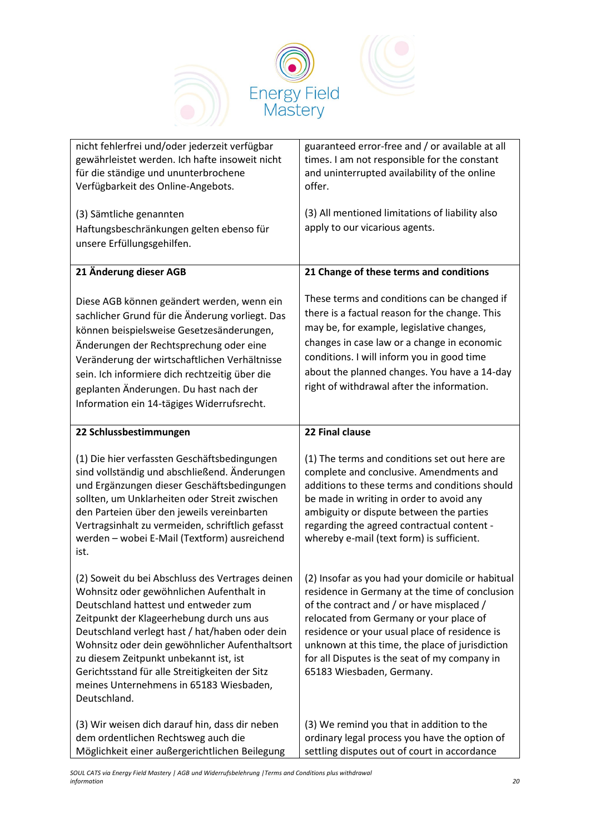

| nicht fehlerfrei und/oder jederzeit verfügbar<br>gewährleistet werden. Ich hafte insoweit nicht<br>für die ständige und ununterbrochene<br>Verfügbarkeit des Online-Angebots.                                                                                                                                                                                                                                                                | guaranteed error-free and / or available at all<br>times. I am not responsible for the constant<br>and uninterrupted availability of the online<br>offer.                                                                                                                                                                                                                    |
|----------------------------------------------------------------------------------------------------------------------------------------------------------------------------------------------------------------------------------------------------------------------------------------------------------------------------------------------------------------------------------------------------------------------------------------------|------------------------------------------------------------------------------------------------------------------------------------------------------------------------------------------------------------------------------------------------------------------------------------------------------------------------------------------------------------------------------|
| (3) Sämtliche genannten<br>Haftungsbeschränkungen gelten ebenso für<br>unsere Erfüllungsgehilfen.                                                                                                                                                                                                                                                                                                                                            | (3) All mentioned limitations of liability also<br>apply to our vicarious agents.                                                                                                                                                                                                                                                                                            |
| 21 Änderung dieser AGB                                                                                                                                                                                                                                                                                                                                                                                                                       | 21 Change of these terms and conditions                                                                                                                                                                                                                                                                                                                                      |
| Diese AGB können geändert werden, wenn ein<br>sachlicher Grund für die Änderung vorliegt. Das<br>können beispielsweise Gesetzesänderungen,<br>Änderungen der Rechtsprechung oder eine<br>Veränderung der wirtschaftlichen Verhältnisse<br>sein. Ich informiere dich rechtzeitig über die<br>geplanten Änderungen. Du hast nach der<br>Information ein 14-tägiges Widerrufsrecht.                                                             | These terms and conditions can be changed if<br>there is a factual reason for the change. This<br>may be, for example, legislative changes,<br>changes in case law or a change in economic<br>conditions. I will inform you in good time<br>about the planned changes. You have a 14-day<br>right of withdrawal after the information.                                       |
| 22 Schlussbestimmungen                                                                                                                                                                                                                                                                                                                                                                                                                       | 22 Final clause                                                                                                                                                                                                                                                                                                                                                              |
| (1) Die hier verfassten Geschäftsbedingungen<br>sind vollständig und abschließend. Änderungen<br>und Ergänzungen dieser Geschäftsbedingungen<br>sollten, um Unklarheiten oder Streit zwischen<br>den Parteien über den jeweils vereinbarten<br>Vertragsinhalt zu vermeiden, schriftlich gefasst<br>werden - wobei E-Mail (Textform) ausreichend<br>ist.                                                                                      | (1) The terms and conditions set out here are<br>complete and conclusive. Amendments and<br>additions to these terms and conditions should<br>be made in writing in order to avoid any<br>ambiguity or dispute between the parties<br>regarding the agreed contractual content -<br>whereby e-mail (text form) is sufficient.                                                |
| (2) Soweit du bei Abschluss des Vertrages deinen<br>Wohnsitz oder gewöhnlichen Aufenthalt in<br>Deutschland hattest und entweder zum<br>Zeitpunkt der Klageerhebung durch uns aus<br>Deutschland verlegt hast / hat/haben oder dein<br>Wohnsitz oder dein gewöhnlicher Aufenthaltsort<br>zu diesem Zeitpunkt unbekannt ist, ist<br>Gerichtsstand für alle Streitigkeiten der Sitz<br>meines Unternehmens in 65183 Wiesbaden,<br>Deutschland. | (2) Insofar as you had your domicile or habitual<br>residence in Germany at the time of conclusion<br>of the contract and / or have misplaced /<br>relocated from Germany or your place of<br>residence or your usual place of residence is<br>unknown at this time, the place of jurisdiction<br>for all Disputes is the seat of my company in<br>65183 Wiesbaden, Germany. |
| (3) Wir weisen dich darauf hin, dass dir neben<br>dem ordentlichen Rechtsweg auch die<br>Möglichkeit einer außergerichtlichen Beilegung                                                                                                                                                                                                                                                                                                      | (3) We remind you that in addition to the<br>ordinary legal process you have the option of<br>settling disputes out of court in accordance                                                                                                                                                                                                                                   |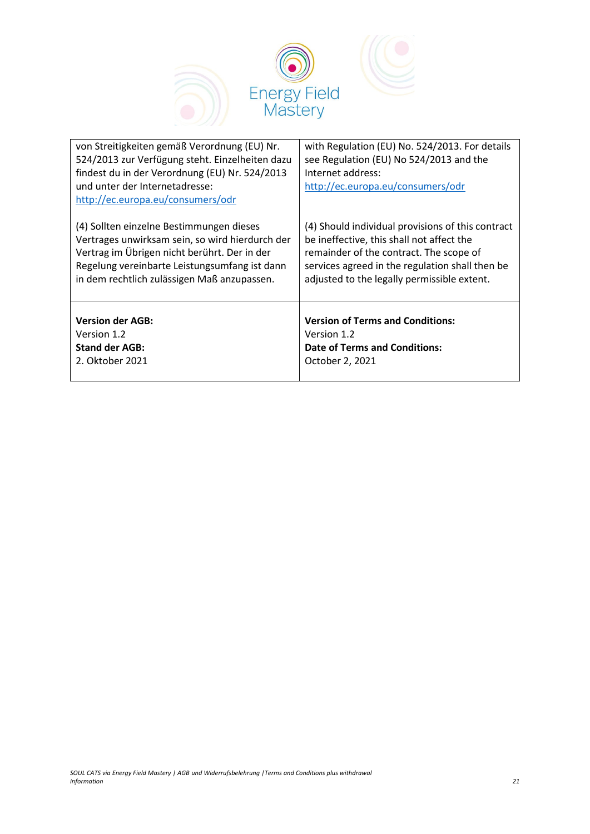

| von Streitigkeiten gemäß Verordnung (EU) Nr.<br>524/2013 zur Verfügung steht. Einzelheiten dazu<br>findest du in der Verordnung (EU) Nr. 524/2013<br>und unter der Internetadresse:<br>http://ec.europa.eu/consumers/odr | with Regulation (EU) No. 524/2013. For details<br>see Regulation (EU) No 524/2013 and the<br>Internet address:<br>http://ec.europa.eu/consumers/odr |
|--------------------------------------------------------------------------------------------------------------------------------------------------------------------------------------------------------------------------|-----------------------------------------------------------------------------------------------------------------------------------------------------|
| (4) Sollten einzelne Bestimmungen dieses                                                                                                                                                                                 | (4) Should individual provisions of this contract                                                                                                   |
| Vertrages unwirksam sein, so wird hierdurch der                                                                                                                                                                          | be ineffective, this shall not affect the                                                                                                           |
| Vertrag im Übrigen nicht berührt. Der in der                                                                                                                                                                             | remainder of the contract. The scope of                                                                                                             |
| Regelung vereinbarte Leistungsumfang ist dann                                                                                                                                                                            | services agreed in the regulation shall then be                                                                                                     |
| in dem rechtlich zulässigen Maß anzupassen.                                                                                                                                                                              | adjusted to the legally permissible extent.                                                                                                         |
| <b>Version der AGB:</b>                                                                                                                                                                                                  | <b>Version of Terms and Conditions:</b>                                                                                                             |
| Version 1.2                                                                                                                                                                                                              | Version 1.2                                                                                                                                         |
| <b>Stand der AGB:</b>                                                                                                                                                                                                    | <b>Date of Terms and Conditions:</b>                                                                                                                |
| 2. Oktober 2021                                                                                                                                                                                                          | October 2, 2021                                                                                                                                     |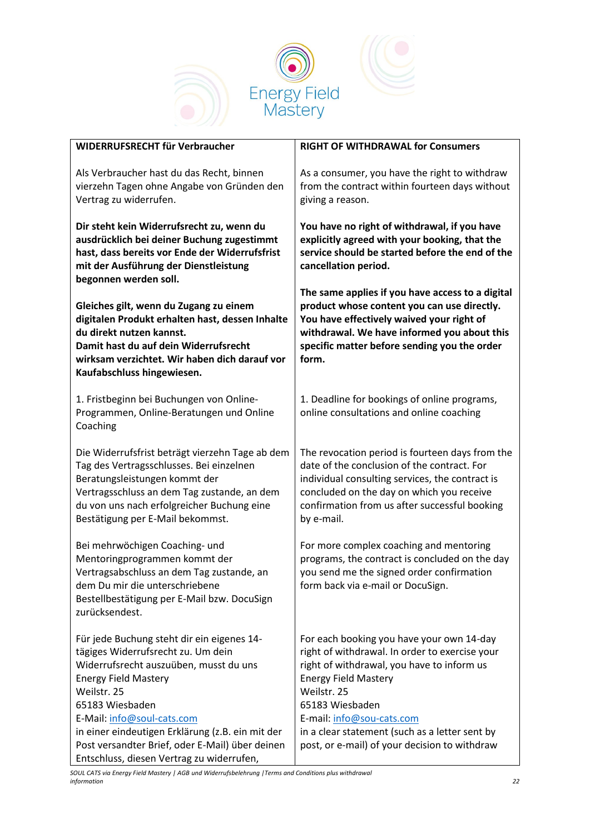



| WIDERRUFSRECHT für Verbraucher                                                                                                                                                                                                                                                                                                                                                | <b>RIGHT OF WITHDRAWAL for Consumers</b>                                                                                                                                                                                                                                                                                                   |
|-------------------------------------------------------------------------------------------------------------------------------------------------------------------------------------------------------------------------------------------------------------------------------------------------------------------------------------------------------------------------------|--------------------------------------------------------------------------------------------------------------------------------------------------------------------------------------------------------------------------------------------------------------------------------------------------------------------------------------------|
| Als Verbraucher hast du das Recht, binnen<br>vierzehn Tagen ohne Angabe von Gründen den<br>Vertrag zu widerrufen.                                                                                                                                                                                                                                                             | As a consumer, you have the right to withdraw<br>from the contract within fourteen days without<br>giving a reason.                                                                                                                                                                                                                        |
| Dir steht kein Widerrufsrecht zu, wenn du<br>ausdrücklich bei deiner Buchung zugestimmt<br>hast, dass bereits vor Ende der Widerrufsfrist<br>mit der Ausführung der Dienstleistung<br>begonnen werden soll.                                                                                                                                                                   | You have no right of withdrawal, if you have<br>explicitly agreed with your booking, that the<br>service should be started before the end of the<br>cancellation period.                                                                                                                                                                   |
| Gleiches gilt, wenn du Zugang zu einem<br>digitalen Produkt erhalten hast, dessen Inhalte<br>du direkt nutzen kannst.<br>Damit hast du auf dein Widerrufsrecht<br>wirksam verzichtet. Wir haben dich darauf vor<br>Kaufabschluss hingewiesen.                                                                                                                                 | The same applies if you have access to a digital<br>product whose content you can use directly.<br>You have effectively waived your right of<br>withdrawal. We have informed you about this<br>specific matter before sending you the order<br>form.                                                                                       |
| 1. Fristbeginn bei Buchungen von Online-<br>Programmen, Online-Beratungen und Online<br>Coaching                                                                                                                                                                                                                                                                              | 1. Deadline for bookings of online programs,<br>online consultations and online coaching                                                                                                                                                                                                                                                   |
| Die Widerrufsfrist beträgt vierzehn Tage ab dem<br>Tag des Vertragsschlusses. Bei einzelnen<br>Beratungsleistungen kommt der<br>Vertragsschluss an dem Tag zustande, an dem<br>du von uns nach erfolgreicher Buchung eine<br>Bestätigung per E-Mail bekommst.                                                                                                                 | The revocation period is fourteen days from the<br>date of the conclusion of the contract. For<br>individual consulting services, the contract is<br>concluded on the day on which you receive<br>confirmation from us after successful booking<br>by e-mail.                                                                              |
| Bei mehrwöchigen Coaching- und<br>Mentoringprogrammen kommt der<br>Vertragsabschluss an dem Tag zustande, an<br>dem Du mir die unterschriebene<br>Bestellbestätigung per E-Mail bzw. DocuSign<br>zurücksendest.                                                                                                                                                               | For more complex coaching and mentoring<br>programs, the contract is concluded on the day<br>you send me the signed order confirmation<br>form back via e-mail or DocuSign.                                                                                                                                                                |
| Für jede Buchung steht dir ein eigenes 14-<br>tägiges Widerrufsrecht zu. Um dein<br>Widerrufsrecht auszuüben, musst du uns<br><b>Energy Field Mastery</b><br>Weilstr. 25<br>65183 Wiesbaden<br>E-Mail: info@soul-cats.com<br>in einer eindeutigen Erklärung (z.B. ein mit der<br>Post versandter Brief, oder E-Mail) über deinen<br>Entschluss, diesen Vertrag zu widerrufen, | For each booking you have your own 14-day<br>right of withdrawal. In order to exercise your<br>right of withdrawal, you have to inform us<br><b>Energy Field Mastery</b><br>Weilstr. 25<br>65183 Wiesbaden<br>E-mail: info@sou-cats.com<br>in a clear statement (such as a letter sent by<br>post, or e-mail) of your decision to withdraw |